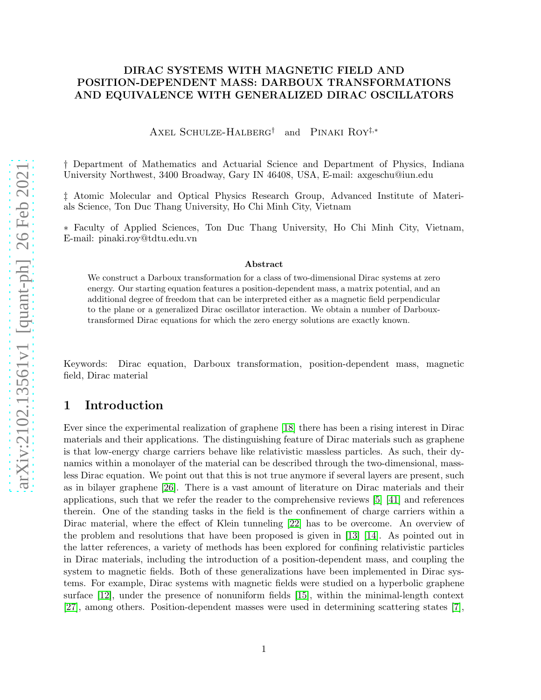### DIRAC SYSTEMS WITH MAGNETIC FIELD AND POSITION-DEPENDENT MASS: DARBOUX TRANSFORMATIONS AND EQUIVALENCE WITH GENERALIZED DIRAC OSCILLATORS

Axel Schulze-Halberg† and Pinaki Roy‡,<sup>∗</sup>

† Department of Mathematics and Actuarial Science and Department of Physics, Indiana University Northwest, 3400 Broadway, Gary IN 46408, USA, E-mail: axgeschu@iun.edu

‡ Atomic Molecular and Optical Physics Research Group, Advanced Institute of Materials Science, Ton Duc Thang University, Ho Chi Minh City, Vietnam

∗ Faculty of Applied Sciences, Ton Duc Thang University, Ho Chi Minh City, Vietnam, E-mail: pinaki.roy@tdtu.edu.vn

#### Abstract

We construct a Darboux transformation for a class of two-dimensional Dirac systems at zero energy. Our starting equation features a position-dependent mass, a matrix potential, and an additional degree of freedom that can be interpreted either as a magnetic field perpendicular to the plane or a generalized Dirac oscillator interaction. We obtain a number of Darbouxtransformed Dirac equations for which the zero energy solutions are exactly known.

Keywords: Dirac equation, Darboux transformation, position-dependent mass, magnetic field, Dirac material

## 1 Introduction

Ever since the experimental realization of graphene [\[18\]](#page-23-0) there has been a rising interest in Dirac materials and their applications. The distinguishing feature of Dirac materials such as graphene is that low-energy charge carriers behave like relativistic massless particles. As such, their dynamics within a monolayer of the material can be described through the two-dimensional, massless Dirac equation. We point out that this is not true anymore if several layers are present, such as in bilayer graphene [\[26\]](#page-24-0). There is a vast amount of literature on Dirac materials and their applications, such that we refer the reader to the comprehensive reviews [\[5\]](#page-23-1) [\[41\]](#page-25-0) and references therein. One of the standing tasks in the field is the confinement of charge carriers within a Dirac material, where the effect of Klein tunneling [\[22\]](#page-24-1) has to be overcome. An overview of the problem and resolutions that have been proposed is given in [\[13\]](#page-23-2) [\[14\]](#page-23-3). As pointed out in the latter references, a variety of methods has been explored for confining relativistic particles in Dirac materials, including the introduction of a position-dependent mass, and coupling the system to magnetic fields. Both of these generalizations have been implemented in Dirac systems. For example, Dirac systems with magnetic fields were studied on a hyperbolic graphene surface [\[12\]](#page-23-4), under the presence of nonuniform fields [\[15\]](#page-23-5), within the minimal-length context [\[27\]](#page-24-2), among others. Position-dependent masses were used in determining scattering states [\[7\]](#page-23-6),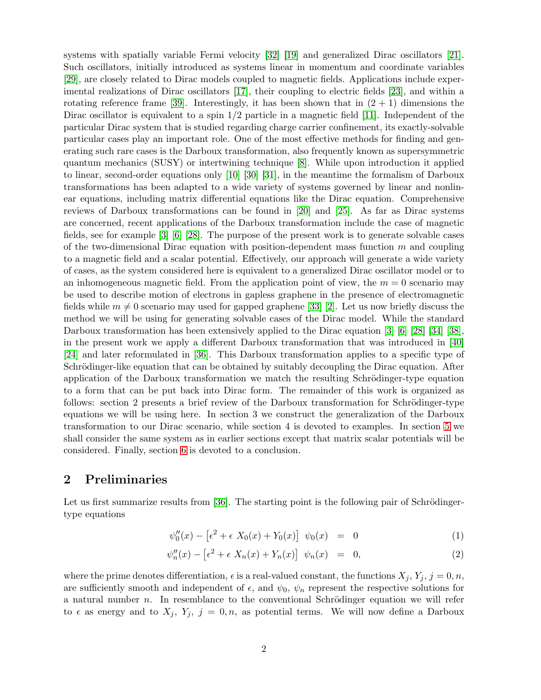systems with spatially variable Fermi velocity [\[32\]](#page-24-3) [\[19\]](#page-23-7) and generalized Dirac oscillators [\[21\]](#page-24-4). Such oscillators, initially introduced as systems linear in momentum and coordinate variables [\[29\]](#page-24-5), are closely related to Dirac models coupled to magnetic fields. Applications include experimental realizations of Dirac oscillators [\[17\]](#page-23-8), their coupling to electric fields [\[23\]](#page-24-6), and within a rotating reference frame [\[39\]](#page-25-1). Interestingly, it has been shown that in  $(2 + 1)$  dimensions the Dirac oscillator is equivalent to a spin  $1/2$  particle in a magnetic field [\[11\]](#page-23-9). Independent of the particular Dirac system that is studied regarding charge carrier confinement, its exactly-solvable particular cases play an important role. One of the most effective methods for finding and generating such rare cases is the Darboux transformation, also frequently known as supersymmetric quantum mechanics (SUSY) or intertwining technique [\[8\]](#page-23-10). While upon introduction it applied to linear, second-order equations only [\[10\]](#page-23-11) [\[30\]](#page-24-7) [\[31\]](#page-24-8), in the meantime the formalism of Darboux transformations has been adapted to a wide variety of systems governed by linear and nonlinear equations, including matrix differential equations like the Dirac equation. Comprehensive reviews of Darboux transformations can be found in [\[20\]](#page-23-12) and [\[25\]](#page-24-9). As far as Dirac systems are concerned, recent applications of the Darboux transformation include the case of magnetic fields, see for example [\[3\]](#page-22-0) [\[6\]](#page-23-13) [\[28\]](#page-24-10). The purpose of the present work is to generate solvable cases of the two-dimensional Dirac equation with position-dependent mass function  $m$  and coupling to a magnetic field and a scalar potential. Effectively, our approach will generate a wide variety of cases, as the system considered here is equivalent to a generalized Dirac oscillator model or to an inhomogeneous magnetic field. From the application point of view, the  $m = 0$  scenario may be used to describe motion of electrons in gapless graphene in the presence of electromagnetic fields while  $m \neq 0$  scenario may used for gapped graphene [\[33\]](#page-24-11) [\[2\]](#page-22-1). Let us now briefly discuss the method we will be using for generating solvable cases of the Dirac model. While the standard Darboux transformation has been extensively applied to the Dirac equation [\[3\]](#page-22-0) [\[6\]](#page-23-13) [\[28\]](#page-24-10) [\[34\]](#page-24-12) [\[38\]](#page-24-13), in the present work we apply a different Darboux transformation that was introduced in [\[40\]](#page-25-2) [\[24\]](#page-24-14) and later reformulated in [\[36\]](#page-24-15). This Darboux transformation applies to a specific type of Schrödinger-like equation that can be obtained by suitably decoupling the Dirac equation. After application of the Darboux transformation we match the resulting Schrödinger-type equation to a form that can be put back into Dirac form. The remainder of this work is organized as follows: section 2 presents a brief review of the Darboux transformation for Schrödinger-type equations we will be using here. In section 3 we construct the generalization of the Darboux transformation to our Dirac scenario, while section 4 is devoted to examples. In section [5](#page-17-0) we shall consider the same system as in earlier sections except that matrix scalar potentials will be considered. Finally, section [6](#page-22-2) is devoted to a conclusion.

### 2 Preliminaries

Let us first summarize results from  $[36]$ . The starting point is the following pair of Schrödingertype equations

<span id="page-1-0"></span>
$$
\psi_0''(x) - \left[\epsilon^2 + \epsilon X_0(x) + Y_0(x)\right] \psi_0(x) = 0 \tag{1}
$$

$$
\psi_n''(x) - \left[\epsilon^2 + \epsilon X_n(x) + Y_n(x)\right] \psi_n(x) = 0, \tag{2}
$$

where the prime denotes differentiation,  $\epsilon$  is a real-valued constant, the functions  $X_j$ ,  $Y_j$ ,  $j = 0, n$ , are sufficiently smooth and independent of  $\epsilon$ , and  $\psi_0$ ,  $\psi_n$  represent the respective solutions for a natural number  $n$ . In resemblance to the conventional Schrödinger equation we will refer to  $\epsilon$  as energy and to  $X_j$ ,  $Y_j$ ,  $j = 0, n$ , as potential terms. We will now define a Darboux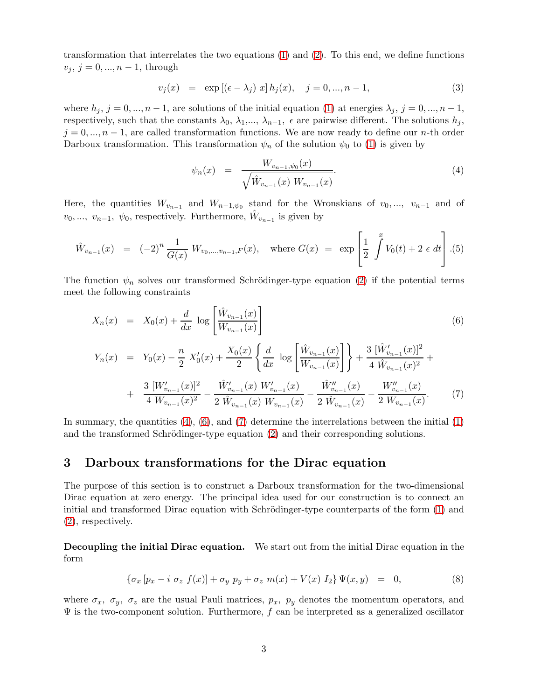transformation that interrelates the two equations [\(1\)](#page-1-0) and [\(2\)](#page-1-0). To this end, we define functions  $v_j, j = 0, ..., n-1$ , through

<span id="page-2-3"></span>
$$
v_j(x) = \exp\left[ (\epsilon - \lambda_j) \ x \right] h_j(x), \quad j = 0, ..., n - 1,
$$
\n(3)

where  $h_j$ ,  $j = 0, ..., n-1$ , are solutions of the initial equation [\(1\)](#page-1-0) at energies  $\lambda_j$ ,  $j = 0, ..., n-1$ , respectively, such that the constants  $\lambda_0, \lambda_1, ..., \lambda_{n-1}$ ,  $\epsilon$  are pairwise different. The solutions  $h_j$ ,  $j = 0, ..., n - 1$ , are called transformation functions. We are now ready to define our n-th order Darboux transformation. This transformation  $\psi_n$  of the solution  $\psi_0$  to [\(1\)](#page-1-0) is given by

<span id="page-2-0"></span>
$$
\psi_n(x) = \frac{W_{v_{n-1}, \psi_0}(x)}{\sqrt{\hat{W}_{v_{n-1}}(x) W_{v_{n-1}}(x)}}.
$$
\n(4)

Here, the quantities  $W_{v_{n-1}}$  and  $W_{n-1,\psi_0}$  stand for the Wronskians of  $v_0, ..., v_{n-1}$  and of  $v_0, ..., v_{n-1}, \psi_0$ , respectively. Furthermore,  $\hat{W}_{v_{n-1}}$  is given by

$$
\hat{W}_{v_{n-1}}(x) = (-2)^n \frac{1}{G(x)} W_{v_0, \dots, v_{n-1}, F}(x), \quad \text{where } G(x) = \exp\left[\frac{1}{2} \int^x V_0(t) + 2 \epsilon \, dt\right].
$$
 (5)

The function  $\psi_n$  solves our transformed Schrödinger-type equation [\(2\)](#page-1-0) if the potential terms meet the following constraints

<span id="page-2-1"></span>
$$
X_n(x) = X_0(x) + \frac{d}{dx} \log \left[ \frac{\hat{W}_{v_{n-1}}(x)}{W_{v_{n-1}}(x)} \right]
$$
(6)

$$
Y_n(x) = Y_0(x) - \frac{n}{2} X'_0(x) + \frac{X_0(x)}{2} \left\{ \frac{d}{dx} \log \left[ \frac{\hat{W}_{v_{n-1}}(x)}{W_{v_{n-1}}(x)} \right] \right\} + \frac{3 \left[ \hat{W}'_{v_{n-1}}(x) \right]^2}{4 \hat{W}_{v_{n-1}}(x)^2} + \frac{3 \left[ W'_{v_{n-1}}(x) \right]^2}{4 \hat{W}_{v_{n-1}}(x)^2} - \frac{\hat{W}'_{v_{n-1}}(x) W'_{v_{n-1}}(x)}{2 \hat{W}_{v_{n-1}}(x) W_{v_{n-1}}(x)} - \frac{\hat{W}''_{v_{n-1}}(x)}{2 \hat{W}_{v_{n-1}}(x)} - \frac{W''_{v_{n-1}}(x)}{2 \hat{W}_{v_{n-1}}(x)}.
$$
 (7)

In summary, the quantities  $(4)$ ,  $(6)$ , and  $(7)$  determine the interrelations between the initial  $(1)$ and the transformed Schrödinger-type equation  $(2)$  and their corresponding solutions.

### 3 Darboux transformations for the Dirac equation

The purpose of this section is to construct a Darboux transformation for the two-dimensional Dirac equation at zero energy. The principal idea used for our construction is to connect an initial and transformed Dirac equation with Schrödinger-type counterparts of the form  $(1)$  and [\(2\)](#page-1-0), respectively.

Decoupling the initial Dirac equation. We start out from the initial Dirac equation in the form

<span id="page-2-2"></span>
$$
\{\sigma_x \left[ p_x - i \ \sigma_z \ f(x) \right] + \sigma_y \ p_y + \sigma_z \ m(x) + V(x) \ I_2 \} \ \Psi(x, y) = 0, \tag{8}
$$

where  $\sigma_x$ ,  $\sigma_y$ ,  $\sigma_z$  are the usual Pauli matrices,  $p_x$ ,  $p_y$  denotes the momentum operators, and  $\Psi$  is the two-component solution. Furthermore, f can be interpreted as a generalized oscillator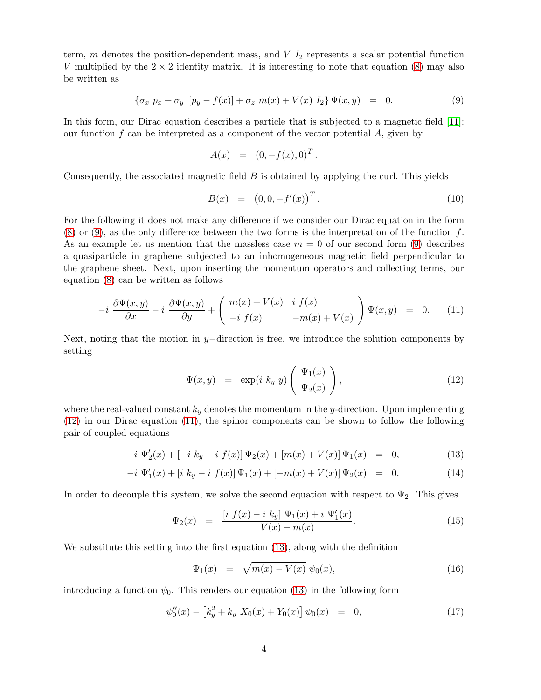term,  $m$  denotes the position-dependent mass, and  $V$   $I_2$  represents a scalar potential function V multiplied by the  $2 \times 2$  identity matrix. It is interesting to note that equation [\(8\)](#page-2-2) may also be written as

<span id="page-3-0"></span>
$$
\{\sigma_x \ p_x + \sigma_y \ [p_y - f(x)] + \sigma_z \ m(x) + V(x) \ I_2\} \Psi(x, y) = 0. \tag{9}
$$

In this form, our Dirac equation describes a particle that is subjected to a magnetic field [\[11\]](#page-23-9): our function  $f$  can be interpreted as a component of the vector potential  $A$ , given by

$$
A(x) = (0, -f(x), 0)^T.
$$

Consequently, the associated magnetic field B is obtained by applying the curl. This yields

<span id="page-3-7"></span>
$$
B(x) = (0, 0, -f'(x))^T.
$$
 (10)

For the following it does not make any difference if we consider our Dirac equation in the form  $(8)$  or  $(9)$ , as the only difference between the two forms is the interpretation of the function f. As an example let us mention that the massless case  $m = 0$  of our second form [\(9\)](#page-3-0) describes a quasiparticle in graphene subjected to an inhomogeneous magnetic field perpendicular to the graphene sheet. Next, upon inserting the momentum operators and collecting terms, our equation [\(8\)](#page-2-2) can be written as follows

<span id="page-3-2"></span>
$$
-i \frac{\partial \Psi(x,y)}{\partial x} - i \frac{\partial \Psi(x,y)}{\partial y} + \begin{pmatrix} m(x) + V(x) & i \ f(x) \\ -i \ f(x) & -m(x) + V(x) \end{pmatrix} \Psi(x,y) = 0. \tag{11}
$$

Next, noting that the motion in y−direction is free, we introduce the solution components by setting

<span id="page-3-1"></span>
$$
\Psi(x,y) = \exp(i k_y y) \begin{pmatrix} \Psi_1(x) \\ \Psi_2(x) \end{pmatrix}, \qquad (12)
$$

where the real-valued constant  $k_y$  denotes the momentum in the y-direction. Upon implementing [\(12\)](#page-3-1) in our Dirac equation [\(11\)](#page-3-2), the spinor components can be shown to follow the following pair of coupled equations

<span id="page-3-3"></span>
$$
-i \Psi_2'(x) + [-i k_y + i f(x)] \Psi_2(x) + [m(x) + V(x)] \Psi_1(x) = 0,
$$
\n(13)

$$
-i \Psi_1'(x) + [i k_y - i f(x)] \Psi_1(x) + [-m(x) + V(x)] \Psi_2(x) = 0.
$$
 (14)

In order to decouple this system, we solve the second equation with respect to  $\Psi_2$ . This gives

<span id="page-3-5"></span>
$$
\Psi_2(x) = \frac{\left[i \ f(x) - i \ k_y\right] \ \Psi_1(x) + i \ \Psi'_1(x)}{V(x) - m(x)}.
$$
\n(15)

We substitute this setting into the first equation [\(13\)](#page-3-3), along with the definition

<span id="page-3-6"></span>
$$
\Psi_1(x) = \sqrt{m(x) - V(x)} \psi_0(x), \tag{16}
$$

introducing a function  $\psi_0$ . This renders our equation [\(13\)](#page-3-3) in the following form

<span id="page-3-4"></span>
$$
\psi_0''(x) - \left[k_y^2 + k_y X_0(x) + Y_0(x)\right] \psi_0(x) = 0, \tag{17}
$$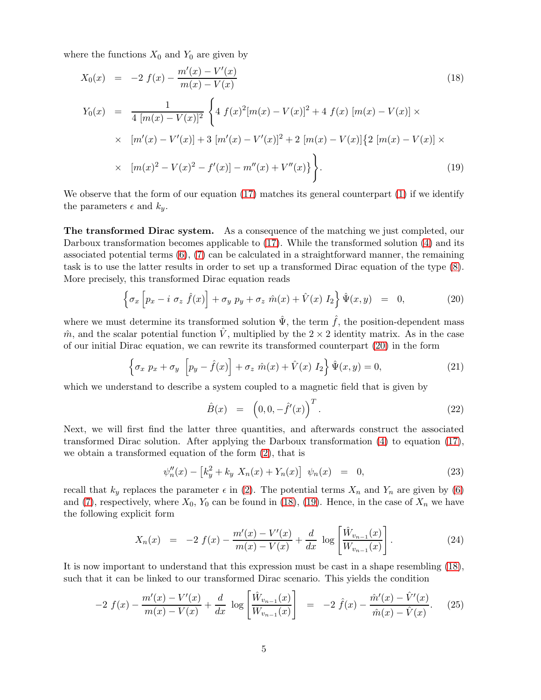where the functions  $X_0$  and  $Y_0$  are given by

<span id="page-4-1"></span>
$$
X_0(x) = -2 f(x) - \frac{m'(x) - V'(x)}{m(x) - V(x)}
$$
(18)  
\n
$$
Y_0(x) = \frac{1}{4 [m(x) - V(x)]^2} \left\{ 4 f(x)^2 [m(x) - V(x)]^2 + 4 f(x) [m(x) - V(x)] \times \right.
$$
  
\n
$$
\times [m'(x) - V'(x)] + 3 [m'(x) - V'(x)]^2 + 2 [m(x) - V(x)] \left\{ 2 [m(x) - V(x)] \times \right.
$$
  
\n
$$
\times [m(x)^2 - V(x)^2 - f'(x)] - m''(x) + V''(x) \left\} \right\}.
$$
(19)

We observe that the form of our equation [\(17\)](#page-3-4) matches its general counterpart [\(1\)](#page-1-0) if we identify the parameters  $\epsilon$  and  $k_y$ .

The transformed Dirac system. As a consequence of the matching we just completed, our Darboux transformation becomes applicable to  $(17)$ . While the transformed solution  $(4)$  and its associated potential terms  $(6)$ ,  $(7)$  can be calculated in a straightforward manner, the remaining task is to use the latter results in order to set up a transformed Dirac equation of the type [\(8\)](#page-2-2). More precisely, this transformed Dirac equation reads

<span id="page-4-0"></span>
$$
\left\{\sigma_x \left[p_x - i \ \sigma_z \ \hat{f}(x)\right] + \sigma_y \ p_y + \sigma_z \ \hat{m}(x) + \hat{V}(x) \ I_2\right\} \hat{\Psi}(x, y) = 0, \tag{20}
$$

where we must determine its transformed solution  $\hat{\Psi}$ , the term  $\hat{f}$ , the position-dependent mass  $\hat{m}$ , and the scalar potential function  $\hat{V}$ , multiplied by the 2 × 2 identity matrix. As in the case of our initial Dirac equation, we can rewrite its transformed counterpart [\(20\)](#page-4-0) in the form

<span id="page-4-3"></span>
$$
\left\{\sigma_x p_x + \sigma_y \left[p_y - \hat{f}(x)\right] + \sigma_z \hat{m}(x) + \hat{V}(x) I_2\right\} \hat{\Psi}(x, y) = 0, \tag{21}
$$

which we understand to describe a system coupled to a magnetic field that is given by

<span id="page-4-4"></span>
$$
\hat{B}(x) = \left(0, 0, -\hat{f}'(x)\right)^T.
$$
\n(22)

Next, we will first find the latter three quantities, and afterwards construct the associated transformed Dirac solution. After applying the Darboux transformation [\(4\)](#page-2-0) to equation [\(17\)](#page-3-4), we obtain a transformed equation of the form [\(2\)](#page-1-0), that is

$$
\psi_n''(x) - \left[k_y^2 + k_y X_n(x) + Y_n(x)\right] \psi_n(x) = 0,
$$
\n(23)

recall that  $k_y$  replaces the parameter  $\epsilon$  in [\(2\)](#page-1-0). The potential terms  $X_n$  and  $Y_n$  are given by [\(6\)](#page-2-1) and [\(7\)](#page-2-1), respectively, where  $X_0$ ,  $Y_0$  can be found in [\(18\)](#page-4-1), [\(19\)](#page-4-1). Hence, in the case of  $X_n$  we have the following explicit form

$$
X_n(x) = -2 f(x) - \frac{m'(x) - V'(x)}{m(x) - V(x)} + \frac{d}{dx} \log \left[ \frac{\hat{W}_{v_{n-1}}(x)}{W_{v_{n-1}}(x)} \right].
$$
 (24)

It is now important to understand that this expression must be cast in a shape resembling [\(18\)](#page-4-1), such that it can be linked to our transformed Dirac scenario. This yields the condition

<span id="page-4-2"></span>
$$
-2 f(x) - \frac{m'(x) - V'(x)}{m(x) - V(x)} + \frac{d}{dx} \log \left[ \frac{\hat{W}_{v_{n-1}}(x)}{W_{v_{n-1}}(x)} \right] = -2 \hat{f}(x) - \frac{\hat{m}'(x) - \hat{V}'(x)}{\hat{m}(x) - \hat{V}(x)}.
$$
 (25)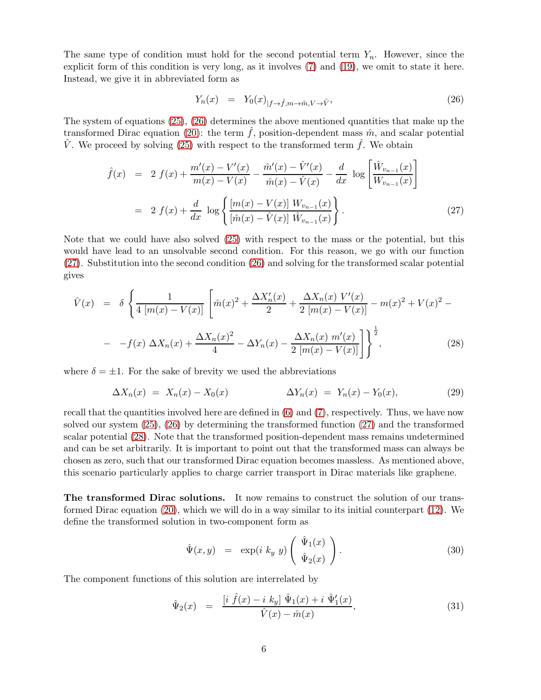The same type of condition must hold for the second potential term  $Y_n$ . However, since the explicit form of this condition is very long, as it involves [\(7\)](#page-2-1) and [\(19\)](#page-4-1), we omit to state it here. Instead, we give it in abbreviated form as

<span id="page-5-0"></span>
$$
Y_n(x) = Y_0(x)_{|f \to \hat{f}, m \to \hat{m}, V \to \hat{V}}, \tag{26}
$$

The system of equations [\(25\)](#page-4-2), [\(26\)](#page-5-0) determines the above mentioned quantities that make up the transformed Dirac equation [\(20\)](#page-4-0): the term f, position-dependent mass  $\hat{m}$ , and scalar potential  $\hat{V}$ . We proceed by solving [\(25\)](#page-4-2) with respect to the transformed term  $\hat{f}$ . We obtain

<span id="page-5-1"></span>
$$
\hat{f}(x) = 2 f(x) + \frac{m'(x) - V'(x)}{m(x) - V(x)} - \frac{\hat{m}'(x) - \hat{V}'(x)}{\hat{m}(x) - \hat{V}(x)} - \frac{d}{dx} \log \left[ \frac{\hat{W}_{v_{n-1}}(x)}{W_{v_{n-1}}(x)} \right]
$$
\n
$$
= 2 f(x) + \frac{d}{dx} \log \left\{ \frac{[m(x) - V(x)] W_{v_{n-1}}(x)}{[\hat{m}(x) - \hat{V}(x)] \hat{W}_{v_{n-1}}(x)} \right\}.
$$
\n(27)

Note that we could have also solved [\(25\)](#page-4-2) with respect to the mass or the potential, but this would have lead to an unsolvable second condition. For this reason, we go with our function [\(27\)](#page-5-1). Substitution into the second condition [\(26\)](#page-5-0) and solving for the transformed scalar potential gives

<span id="page-5-2"></span>
$$
\hat{V}(x) = \delta \left\{ \frac{1}{4 \left[ m(x) - V(x) \right]} \left[ \hat{m}(x)^2 + \frac{\Delta X_n'(x)}{2} + \frac{\Delta X_n(x) V'(x)}{2 \left[ m(x) - V(x) \right]} - m(x)^2 + V(x)^2 - \right. \right. \\ \left. - -f(x) \Delta X_n(x) + \frac{\Delta X_n(x)^2}{4} - \Delta Y_n(x) - \frac{\Delta X_n(x) m'(x)}{2 \left[ m(x) - V(x) \right]} \right\}^{\frac{1}{2}}, \tag{28}
$$

where  $\delta = \pm 1$ . For the sake of brevity we used the abbreviations

<span id="page-5-5"></span>
$$
\Delta X_n(x) = X_n(x) - X_0(x) \qquad \Delta Y_n(x) = Y_n(x) - Y_0(x), \qquad (29)
$$

recall that the quantities involved here are defined in [\(6\)](#page-2-1) and [\(7\)](#page-2-1), respectively. Thus, we have now solved our system [\(25\)](#page-4-2), [\(26\)](#page-5-0) by determining the transformed function [\(27\)](#page-5-1) and the transformed scalar potential [\(28\)](#page-5-2). Note that the transformed position-dependent mass remains undetermined and can be set arbitrarily. It is important to point out that the transformed mass can always be chosen as zero, such that our transformed Dirac equation becomes massless. As mentioned above, this scenario particularly applies to charge carrier transport in Dirac materials like graphene.

The transformed Dirac solutions. It now remains to construct the solution of our transformed Dirac equation [\(20\)](#page-4-0), which we will do in a way similar to its initial counterpart [\(12\)](#page-3-1). We define the transformed solution in two-component form as

<span id="page-5-3"></span>
$$
\hat{\Psi}(x,y) = \exp(i k_y y) \begin{pmatrix} \hat{\Psi}_1(x) \\ \hat{\Psi}_2(x) \end{pmatrix} . \tag{30}
$$

The component functions of this solution are interrelated by

<span id="page-5-4"></span>
$$
\hat{\Psi}_2(x) = \frac{\left[i \hat{f}(x) - i k_y\right] \hat{\Psi}_1(x) + i \hat{\Psi}_1'(x)}{\hat{V}(x) - \hat{m}(x)},\tag{31}
$$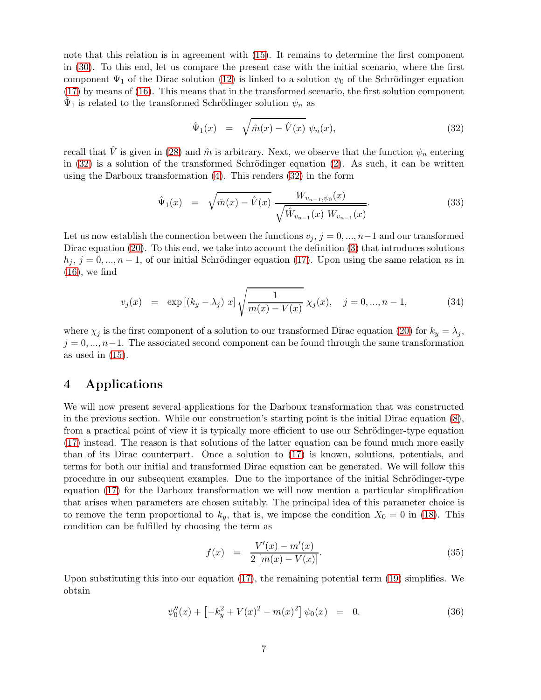note that this relation is in agreement with [\(15\)](#page-3-5). It remains to determine the first component in [\(30\)](#page-5-3). To this end, let us compare the present case with the initial scenario, where the first component  $\Psi_1$  of the Dirac solution [\(12\)](#page-3-1) is linked to a solution  $\psi_0$  of the Schrödinger equation [\(17\)](#page-3-4) by means of [\(16\)](#page-3-6). This means that in the transformed scenario, the first solution component  $\hat{\Psi}_1$  is related to the transformed Schrödinger solution  $\psi_n$  as

<span id="page-6-0"></span>
$$
\hat{\Psi}_1(x) = \sqrt{\hat{m}(x) - \hat{V}(x)} \psi_n(x), \qquad (32)
$$

recall that  $\hat{V}$  is given in [\(28\)](#page-5-2) and  $\hat{m}$  is arbitrary. Next, we observe that the function  $\psi_n$  entering in  $(32)$  is a solution of the transformed Schrödinger equation  $(2)$ . As such, it can be written using the Darboux transformation [\(4\)](#page-2-0). This renders [\(32\)](#page-6-0) in the form

<span id="page-6-3"></span>
$$
\hat{\Psi}_1(x) = \sqrt{\hat{m}(x) - \hat{V}(x)} \frac{W_{v_{n-1}, \psi_0}(x)}{\sqrt{\hat{W}_{v_{n-1}}(x) W_{v_{n-1}}(x)}}.
$$
\n(33)

Let us now establish the connection between the functions  $v_j$ ,  $j = 0, ..., n-1$  and our transformed Dirac equation [\(20\)](#page-4-0). To this end, we take into account the definition [\(3\)](#page-2-3) that introduces solutions  $h_j$ ,  $j = 0, ..., n - 1$ , of our initial Schrödinger equation [\(17\)](#page-3-4). Upon using the same relation as in  $(16)$ , we find

$$
v_j(x) = \exp\left[(k_y - \lambda_j) \, x\right] \sqrt{\frac{1}{m(x) - V(x)}} \, \chi_j(x), \quad j = 0, ..., n-1,
$$
 (34)

where  $\chi_j$  is the first component of a solution to our transformed Dirac equation [\(20\)](#page-4-0) for  $k_y = \lambda_j$ ,  $j = 0, \ldots, n-1$ . The associated second component can be found through the same transformation as used in  $(15)$ .

## 4 Applications

We will now present several applications for the Darboux transformation that was constructed in the previous section. While our construction's starting point is the initial Dirac equation [\(8\)](#page-2-2), from a practical point of view it is typically more efficient to use our Schrödinger-type equation [\(17\)](#page-3-4) instead. The reason is that solutions of the latter equation can be found much more easily than of its Dirac counterpart. Once a solution to [\(17\)](#page-3-4) is known, solutions, potentials, and terms for both our initial and transformed Dirac equation can be generated. We will follow this procedure in our subsequent examples. Due to the importance of the initial Schrödinger-type equation [\(17\)](#page-3-4) for the Darboux transformation we will now mention a particular simplification that arises when parameters are chosen suitably. The principal idea of this parameter choice is to remove the term proportional to  $k_y$ , that is, we impose the condition  $X_0 = 0$  in [\(18\)](#page-4-1). This condition can be fulfilled by choosing the term as

<span id="page-6-2"></span>
$$
f(x) = \frac{V'(x) - m'(x)}{2 [m(x) - V(x)]}.
$$
\n(35)

Upon substituting this into our equation [\(17\)](#page-3-4), the remaining potential term [\(19\)](#page-4-1) simplifies. We obtain

<span id="page-6-1"></span>
$$
\psi_0''(x) + \left[ -k_y^2 + V(x)^2 - m(x)^2 \right] \psi_0(x) = 0. \tag{36}
$$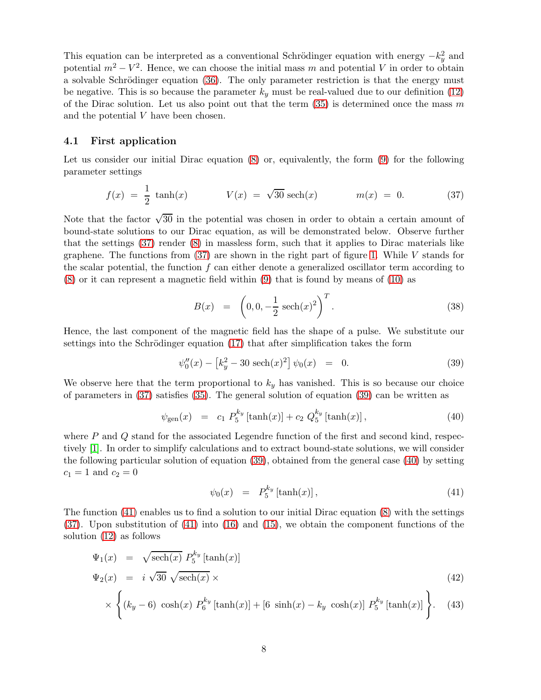This equation can be interpreted as a conventional Schrödinger equation with energy  $-k_y^2$  and potential  $m^2 - V^2$ . Hence, we can choose the initial mass m and potential V in order to obtain a solvable Schrödinger equation  $(36)$ . The only parameter restriction is that the energy must be negative. This is so because the parameter  $k_y$  must be real-valued due to our definition [\(12\)](#page-3-1) of the Dirac solution. Let us also point out that the term  $(35)$  is determined once the mass m and the potential V have been chosen.

#### 4.1 First application

Let us consider our initial Dirac equation [\(8\)](#page-2-2) or, equivalently, the form [\(9\)](#page-3-0) for the following parameter settings

<span id="page-7-0"></span>
$$
f(x) = \frac{1}{2} \tanh(x) \qquad V(x) = \sqrt{30} \sech(x) \qquad m(x) = 0. \tag{37}
$$

Note that the factor  $\sqrt{30}$  in the potential was chosen in order to obtain a certain amount of bound-state solutions to our Dirac equation, as will be demonstrated below. Observe further that the settings [\(37\)](#page-7-0) render [\(8\)](#page-2-2) in massless form, such that it applies to Dirac materials like graphene. The functions from  $(37)$  are shown in the right part of figure [1.](#page-8-0) While V stands for the scalar potential, the function f can either denote a generalized oscillator term according to [\(8\)](#page-2-2) or it can represent a magnetic field within [\(9\)](#page-3-0) that is found by means of [\(10\)](#page-3-7) as

<span id="page-7-5"></span>
$$
B(x) = \left(0, 0, -\frac{1}{2} \operatorname{sech}(x)^2\right)^T.
$$
 (38)

Hence, the last component of the magnetic field has the shape of a pulse. We substitute our settings into the Schrödinger equation  $(17)$  that after simplification takes the form

<span id="page-7-1"></span>
$$
\psi_0''(x) - \left[k_y^2 - 30 \text{ sech}(x)^2\right] \psi_0(x) = 0. \tag{39}
$$

We observe here that the term proportional to  $k_y$  has vanished. This is so because our choice of parameters in [\(37\)](#page-7-0) satisfies [\(35\)](#page-6-2). The general solution of equation [\(39\)](#page-7-1) can be written as

<span id="page-7-2"></span>
$$
\psi_{\text{gen}}(x) = c_1 \ P_5^{k_y} \left[ \tanh(x) \right] + c_2 \ Q_5^{k_y} \left[ \tanh(x) \right],\tag{40}
$$

where  $P$  and  $Q$  stand for the associated Legendre function of the first and second kind, respectively [\[1\]](#page-22-3). In order to simplify calculations and to extract bound-state solutions, we will consider the following particular solution of equation [\(39\)](#page-7-1), obtained from the general case [\(40\)](#page-7-2) by setting  $c_1 = 1$  and  $c_2 = 0$ 

<span id="page-7-3"></span>
$$
\psi_0(x) = P_5^{k_y} \left[ \tanh(x) \right],\tag{41}
$$

The function [\(41\)](#page-7-3) enables us to find a solution to our initial Dirac equation [\(8\)](#page-2-2) with the settings [\(37\)](#page-7-0). Upon substitution of [\(41\)](#page-7-3) into [\(16\)](#page-3-6) and [\(15\)](#page-3-5), we obtain the component functions of the solution [\(12\)](#page-3-1) as follows

<span id="page-7-4"></span>
$$
\Psi_1(x) = \sqrt{\text{sech}(x)} P_5^{k_y} [\tanh(x)]
$$
\n
$$
\Psi_2(x) = i \sqrt{30} \sqrt{\text{sech}(x)} \times
$$
\n
$$
\times \left\{ (k_y - 6) \cosh(x) P_6^{k_y} [\tanh(x)] + [6 \sinh(x) - k_y \cosh(x)] P_5^{k_y} [\tanh(x)] \right\}.
$$
\n(43)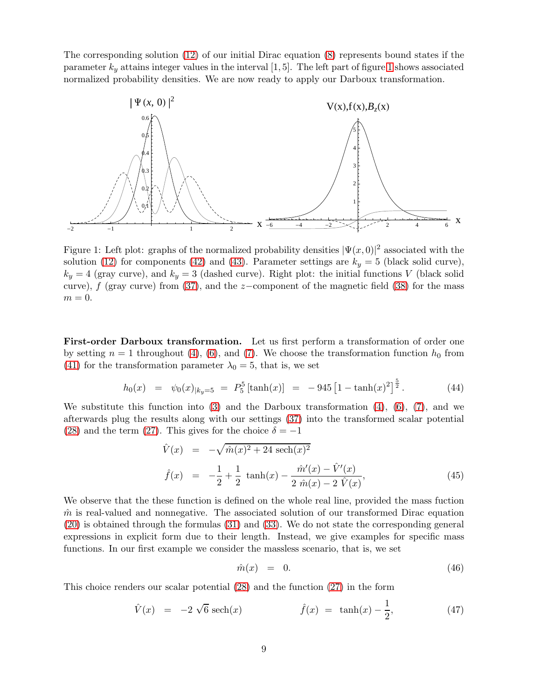The corresponding solution [\(12\)](#page-3-1) of our initial Dirac equation [\(8\)](#page-2-2) represents bound states if the parameter  $k_y$  attains integer values in the interval [1, 5]. The left part of figure [1](#page-8-0) shows associated normalized probability densities. We are now ready to apply our Darboux transformation.



<span id="page-8-0"></span>Figure 1: Left plot: graphs of the normalized probability densities  $|\Psi(x,0)|^2$  associated with the solution [\(12\)](#page-3-1) for components [\(42\)](#page-7-4) and [\(43\)](#page-7-4). Parameter settings are  $k_y = 5$  (black solid curve),  $k_y = 4$  (gray curve), and  $k_y = 3$  (dashed curve). Right plot: the initial functions V (black solid curve), f (gray curve) from [\(37\)](#page-7-0), and the z-component of the magnetic field [\(38\)](#page-7-5) for the mass  $m = 0$ .

First-order Darboux transformation. Let us first perform a transformation of order one by setting  $n = 1$  throughout [\(4\)](#page-2-0), [\(6\)](#page-2-1), and [\(7\)](#page-2-1). We choose the transformation function  $h_0$  from [\(41\)](#page-7-3) for the transformation parameter  $\lambda_0 = 5$ , that is, we set

<span id="page-8-3"></span>
$$
h_0(x) = \psi_0(x)_{|k_y=5} = P_5^5 \left[ \tanh(x) \right] = -945 \left[ 1 - \tanh(x)^2 \right]^{\frac{5}{2}}.
$$
 (44)

We substitute this function into  $(3)$  and the Darboux transformation  $(4)$ ,  $(6)$ ,  $(7)$ , and we afterwards plug the results along with our settings [\(37\)](#page-7-0) into the transformed scalar potential [\(28\)](#page-5-2) and the term [\(27\)](#page-5-1). This gives for the choice  $\delta = -1$ 

$$
\hat{V}(x) = -\sqrt{\hat{m}(x)^2 + 24 \operatorname{sech}(x)^2}
$$
\n
$$
\hat{f}(x) = -\frac{1}{2} + \frac{1}{2} \tanh(x) - \frac{\hat{m}'(x) - \hat{V}'(x)}{2 \hat{m}(x) - 2 \hat{V}(x)},
$$
\n(45)

We observe that the these function is defined on the whole real line, provided the mass fuction  $\hat{m}$  is real-valued and nonnegative. The associated solution of our transformed Dirac equation [\(20\)](#page-4-0) is obtained through the formulas [\(31\)](#page-5-4) and [\(33\)](#page-6-3). We do not state the corresponding general expressions in explicit form due to their length. Instead, we give examples for specific mass functions. In our first example we consider the massless scenario, that is, we set

<span id="page-8-2"></span>
$$
\hat{m}(x) = 0. \tag{46}
$$

This choice renders our scalar potential [\(28\)](#page-5-2) and the function [\(27\)](#page-5-1) in the form

<span id="page-8-1"></span>
$$
\hat{V}(x) = -2\sqrt{6}\,\text{sech}(x) \qquad \hat{f}(x) = \tanh(x) - \frac{1}{2}, \qquad (47)
$$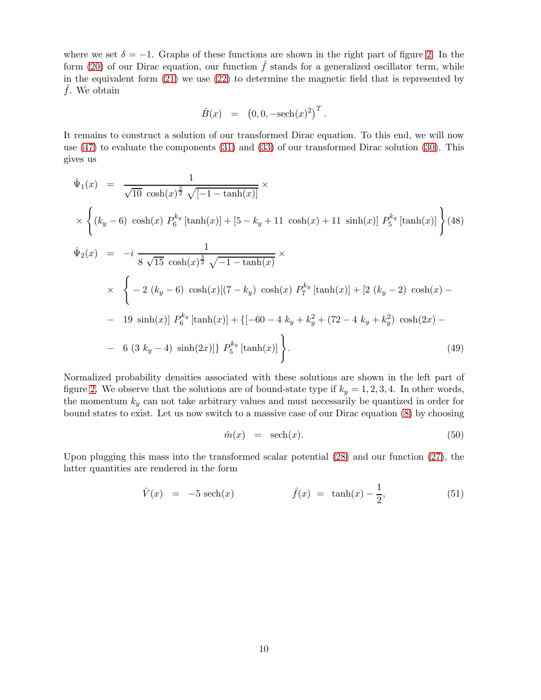where we set  $\delta = -1$ . Graphs of these functions are shown in the right part of figure [2.](#page-10-0) In the form [\(20\)](#page-4-0) of our Dirac equation, our function  $\hat{f}$  stands for a generalized oscillator term, while in the equivalent form  $(21)$  we use  $(22)$  to determine the magnetic field that is represented by f. We obtain

$$
\hat{B}(x) = (0, 0, -\text{sech}(x)^2)^T.
$$

It remains to construct a solution of our transformed Dirac equation. To this end, we will now use [\(47\)](#page-8-1) to evaluate the components [\(31\)](#page-5-4) and [\(33\)](#page-6-3) of our transformed Dirac solution [\(30\)](#page-5-3). This gives us

<span id="page-9-0"></span>
$$
\hat{\Psi}_1(x) = \frac{1}{\sqrt{10} \cosh(x)^{\frac{3}{2}} \sqrt{[-1 - \tanh(x)]}} \times
$$
\n
$$
\times \left\{ (k_y - 6) \cosh(x) P_6^{k_y} [\tanh(x)] + [5 - k_y + 11 \cosh(x) + 11 \sinh(x)] P_5^{k_y} [\tanh(x)] \right\} (48)
$$
\n
$$
\hat{\Psi}_2(x) = -i \frac{1}{8 \sqrt{15} \cosh(x)^{\frac{3}{2}} \sqrt{-1 - \tanh(x)}} \times
$$
\n
$$
\times \left\{ -2 (k_y - 6) \cosh(x) [ (7 - k_y) \cosh(x) P_7^{k_y} [\tanh(x)] + [2 (k_y - 2) \cosh(x) -19 \sinh(x)] P_6^{k_y} [\tanh(x)] + \{ [-60 - 4 k_y + k_y^2 + (72 - 4 k_y + k_y^2) \cosh(2x) -6 (3 k_y - 4) \sinh(2x)] \} P_5^{k_y} [\tanh(x)] \right\}.
$$
\n(49)

Normalized probability densities associated with these solutions are shown in the left part of figure [2.](#page-10-0) We observe that the solutions are of bound-state type if  $k_y = 1, 2, 3, 4$ . In other words, the momentum  $k_y$  can not take arbitrary values and must necessarily be quantized in order for bound states to exist. Let us now switch to a massive case of our Dirac equation [\(8\)](#page-2-2) by choosing

<span id="page-9-2"></span>
$$
\hat{m}(x) = \text{sech}(x). \tag{50}
$$

Upon plugging this mass into the transformed scalar potential [\(28\)](#page-5-2) and our function [\(27\)](#page-5-1), the latter quantities are rendered in the form

<span id="page-9-1"></span>
$$
\hat{V}(x) = -5 \text{ sech}(x)
$$
\n $\hat{f}(x) = \tanh(x) - \frac{1}{2},$ \n(51)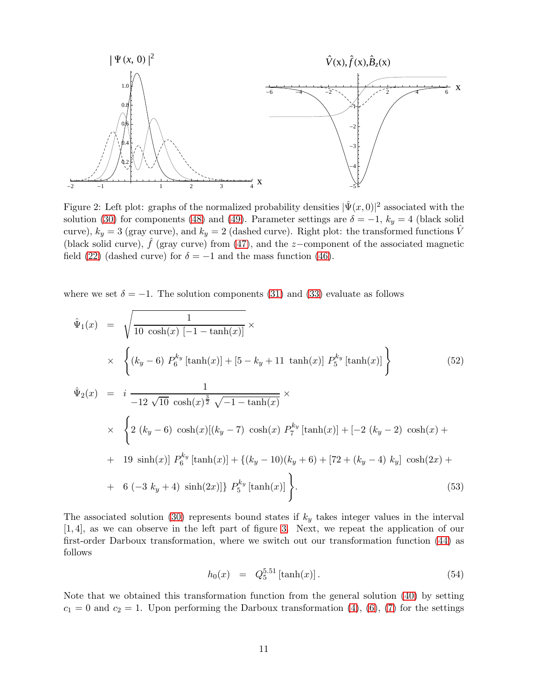

<span id="page-10-0"></span>Figure 2: Left plot: graphs of the normalized probability densities  $|\hat{\Psi}(x,0)|^2$  associated with the solution [\(30\)](#page-5-3) for components [\(48\)](#page-9-0) and [\(49\)](#page-9-0). Parameter settings are  $\delta = -1$ ,  $k_y = 4$  (black solid curve),  $k_y = 3$  (gray curve), and  $k_y = 2$  (dashed curve). Right plot: the transformed functions  $\hat{V}$ (black solid curve),  $\hat{f}$  (gray curve) from [\(47\)](#page-8-1), and the z-component of the associated magnetic field [\(22\)](#page-4-4) (dashed curve) for  $\delta = -1$  and the mass function [\(46\)](#page-8-2).

where we set  $\delta = -1$ . The solution components [\(31\)](#page-5-4) and [\(33\)](#page-6-3) evaluate as follows

<span id="page-10-1"></span>
$$
\hat{\Psi}_1(x) = \sqrt{\frac{1}{10 \cosh(x) [-1 - \tanh(x)]}} \times
$$
\n
$$
\times \left\{ (k_y - 6) P_6^{k_y} [\tanh(x)] + [5 - k_y + 11 \tanh(x)] P_5^{k_y} [\tanh(x)] \right\}
$$
\n
$$
\hat{\Psi}_2(x) = i \frac{1}{-12 \sqrt{10} \cosh(x)^{\frac{3}{2}} \sqrt{-1 - \tanh(x)}} \times
$$
\n
$$
\times \left\{ 2 (k_y - 6) \cosh(x) [(k_y - 7) \cosh(x) P_7^{k_y} [\tanh(x)] + [-2 (k_y - 2) \cosh(x) +
$$
\n
$$
+ 19 \sinh(x)] P_6^{k_y} [\tanh(x)] + \left\{ (k_y - 10)(k_y + 6) + [72 + (k_y - 4) k_y] \cosh(2x) +
$$
\n
$$
+ 6 (-3 k_y + 4) \sinh(2x)] \right\} P_5^{k_y} [\tanh(x)] \Big\}.
$$
\n(53)

The associated solution [\(30\)](#page-5-3) represents bound states if  $k_y$  takes integer values in the interval [1, 4], as we can observe in the left part of figure [3.](#page-11-0) Next, we repeat the application of our first-order Darboux transformation, where we switch out our transformation function [\(44\)](#page-8-3) as follows

<span id="page-10-2"></span>
$$
h_0(x) = Q_5^{5.51} [\tanh(x)]. \tag{54}
$$

Note that we obtained this transformation function from the general solution [\(40\)](#page-7-2) by setting  $c_1 = 0$  and  $c_2 = 1$ . Upon performing the Darboux transformation [\(4\)](#page-2-0), [\(6\)](#page-2-1), [\(7\)](#page-2-1) for the settings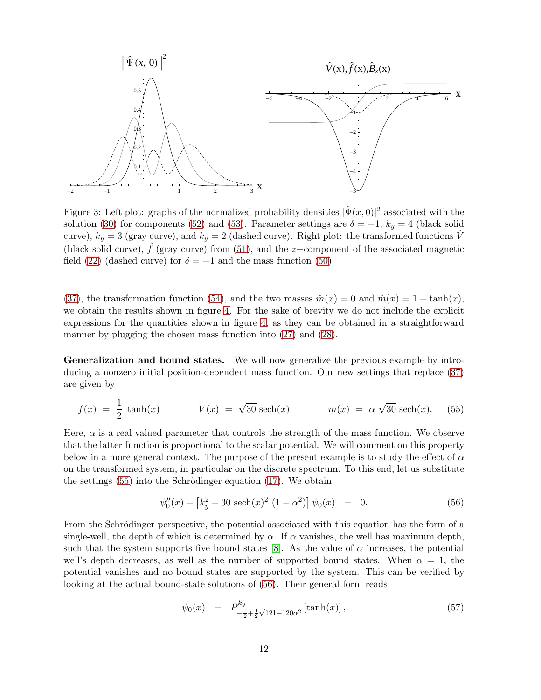

<span id="page-11-0"></span>Figure 3: Left plot: graphs of the normalized probability densities  $|\hat{\Psi}(x,0)|^2$  associated with the solution [\(30\)](#page-5-3) for components [\(52\)](#page-10-1) and [\(53\)](#page-10-1). Parameter settings are  $\delta = -1$ ,  $k_y = 4$  (black solid curve),  $k_y = 3$  (gray curve), and  $k_y = 2$  (dashed curve). Right plot: the transformed functions V (black solid curve),  $\hat{f}$  (gray curve) from [\(51\)](#page-9-1), and the z-component of the associated magnetic field [\(22\)](#page-4-4) (dashed curve) for  $\delta = -1$  and the mass function [\(50\)](#page-9-2).

[\(37\)](#page-7-0), the transformation function [\(54\)](#page-10-2), and the two masses  $\hat{m}(x) = 0$  and  $\hat{m}(x) = 1 + \tanh(x)$ , we obtain the results shown in figure [4.](#page-12-0) For the sake of brevity we do not include the explicit expressions for the quantities shown in figure [4,](#page-12-0) as they can be obtained in a straightforward manner by plugging the chosen mass function into  $(27)$  and  $(28)$ .

Generalization and bound states. We will now generalize the previous example by introducing a nonzero initial position-dependent mass function. Our new settings that replace [\(37\)](#page-7-0) are given by

<span id="page-11-1"></span>
$$
f(x) = \frac{1}{2} \tanh(x) \qquad V(x) = \sqrt{30} \operatorname{sech}(x) \qquad m(x) = \alpha \sqrt{30} \operatorname{sech}(x). \tag{55}
$$

Here,  $\alpha$  is a real-valued parameter that controls the strength of the mass function. We observe that the latter function is proportional to the scalar potential. We will comment on this property below in a more general context. The purpose of the present example is to study the effect of  $\alpha$ on the transformed system, in particular on the discrete spectrum. To this end, let us substitute the settings  $(55)$  into the Schrödinger equation  $(17)$ . We obtain

<span id="page-11-2"></span>
$$
\psi_0''(x) - \left[k_y^2 - 30 \text{ sech}(x)^2 (1 - \alpha^2)\right] \psi_0(x) = 0. \tag{56}
$$

From the Schrödinger perspective, the potential associated with this equation has the form of a single-well, the depth of which is determined by  $\alpha$ . If  $\alpha$  vanishes, the well has maximum depth, such that the system supports five bound states [\[8\]](#page-23-10). As the value of  $\alpha$  increases, the potential well's depth decreases, as well as the number of supported bound states. When  $\alpha = 1$ , the potential vanishes and no bound states are supported by the system. This can be verified by looking at the actual bound-state solutions of [\(56\)](#page-11-2). Their general form reads

<span id="page-11-3"></span>
$$
\psi_0(x) = P_{-\frac{1}{2} + \frac{1}{2}\sqrt{121 - 120\alpha^2}}^{k_y} [\tanh(x)], \qquad (57)
$$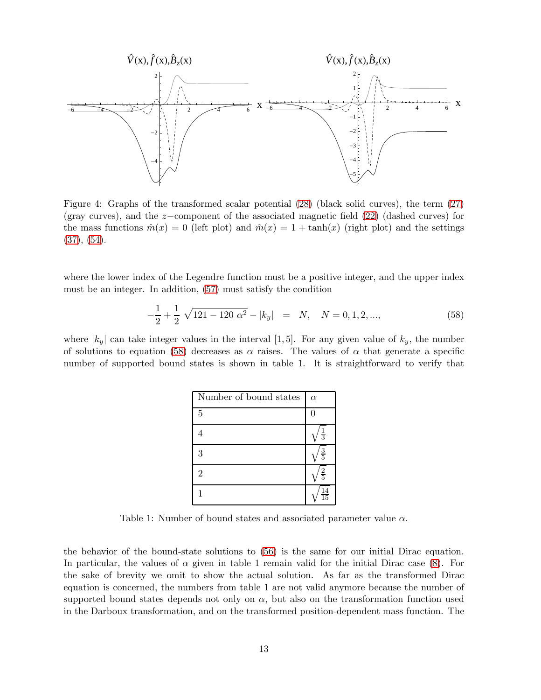

<span id="page-12-0"></span>Figure 4: Graphs of the transformed scalar potential [\(28\)](#page-5-2) (black solid curves), the term [\(27\)](#page-5-1) (gray curves), and the z−component of the associated magnetic field [\(22\)](#page-4-4) (dashed curves) for the mass functions  $\hat{m}(x) = 0$  (left plot) and  $\hat{m}(x) = 1 + \tanh(x)$  (right plot) and the settings  $(37), (54).$  $(37), (54).$  $(37), (54).$  $(37), (54).$ 

where the lower index of the Legendre function must be a positive integer, and the upper index must be an integer. In addition, [\(57\)](#page-11-3) must satisfy the condition

<span id="page-12-1"></span>
$$
-\frac{1}{2} + \frac{1}{2} \sqrt{121 - 120 \alpha^2} - |k_y| = N, \quad N = 0, 1, 2, ..., \tag{58}
$$

where  $|k_y|$  can take integer values in the interval [1, 5]. For any given value of  $k_y$ , the number of solutions to equation [\(58\)](#page-12-1) decreases as  $\alpha$  raises. The values of  $\alpha$  that generate a specific number of supported bound states is shown in table 1. It is straightforward to verify that

| Number of bound states | $\alpha$        |
|------------------------|-----------------|
| $\overline{5}$         |                 |
|                        | $\frac{1}{3}$   |
| 3                      | $\frac{3}{5}$   |
| $\overline{2}$         | $\frac{2}{5}$   |
|                        | $\frac{14}{15}$ |

Table 1: Number of bound states and associated parameter value  $\alpha$ .

the behavior of the bound-state solutions to [\(56\)](#page-11-2) is the same for our initial Dirac equation. In particular, the values of  $\alpha$  given in table 1 remain valid for the initial Dirac case [\(8\)](#page-2-2). For the sake of brevity we omit to show the actual solution. As far as the transformed Dirac equation is concerned, the numbers from table 1 are not valid anymore because the number of supported bound states depends not only on  $\alpha$ , but also on the transformation function used in the Darboux transformation, and on the transformed position-dependent mass function. The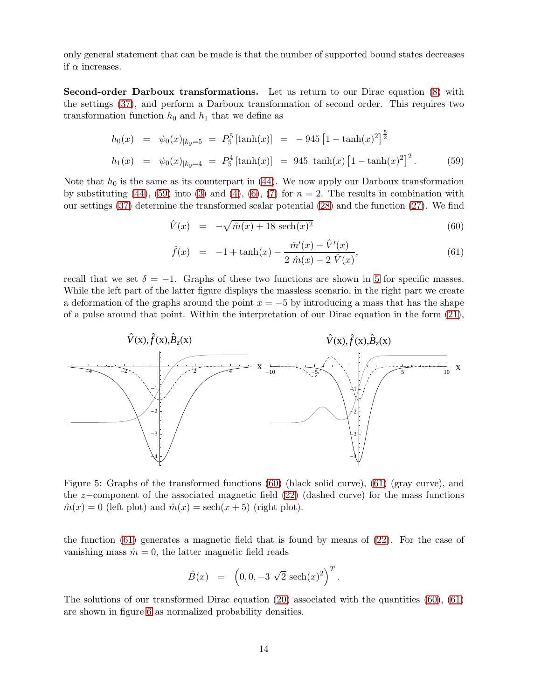only general statement that can be made is that the number of supported bound states decreases if  $\alpha$  increases.

Second-order Darboux transformations. Let us return to our Dirac equation [\(8\)](#page-2-2) with the settings [\(37\)](#page-7-0), and perform a Darboux transformation of second order. This requires two transformation function  $h_0$  and  $h_1$  that we define as

<span id="page-13-0"></span>
$$
h_0(x) = \psi_0(x)_{|k_y=5} = P_5^5 \left[ \tanh(x) \right] = -945 \left[ 1 - \tanh(x)^2 \right]^{\frac{5}{2}}
$$
  
\n
$$
h_1(x) = \psi_0(x)_{|k_y=4} = P_5^4 \left[ \tanh(x) \right] = 945 \tanh(x) \left[ 1 - \tanh(x)^2 \right]^2.
$$
 (59)

Note that  $h_0$  is the same as its counterpart in [\(44\)](#page-8-3). We now apply our Darboux transformation by substituting [\(44\)](#page-8-3), [\(59\)](#page-13-0) into [\(3\)](#page-2-3) and [\(4\)](#page-2-0), [\(6\)](#page-2-1), [\(7\)](#page-2-1) for  $n = 2$ . The results in combination with our settings [\(37\)](#page-7-0) determine the transformed scalar potential [\(28\)](#page-5-2) and the function [\(27\)](#page-5-1). We find

<span id="page-13-2"></span>
$$
\hat{V}(x) = -\sqrt{\hat{m}(x) + 18 \operatorname{sech}(x)^2}
$$
\n(60)

$$
\hat{f}(x) = -1 + \tanh(x) - \frac{\hat{m}'(x) - \hat{V}'(x)}{2 \hat{m}(x) - 2 \hat{V}(x)},
$$
\n(61)

recall that we set  $\delta = -1$ . Graphs of these two functions are shown in [5](#page-13-1) for specific masses. While the left part of the latter figure displays the massless scenario, in the right part we create a deformation of the graphs around the point  $x = -5$  by introducing a mass that has the shape of a pulse around that point. Within the interpretation of our Dirac equation in the form [\(21\)](#page-4-3),



<span id="page-13-1"></span>Figure 5: Graphs of the transformed functions [\(60\)](#page-13-2) (black solid curve), [\(61\)](#page-13-2) (gray curve), and the z−component of the associated magnetic field [\(22\)](#page-4-4) (dashed curve) for the mass functions  $\hat{m}(x) = 0$  (left plot) and  $\hat{m}(x) = \operatorname{sech}(x+5)$  (right plot).

the function [\(61\)](#page-13-2) generates a magnetic field that is found by means of [\(22\)](#page-4-4). For the case of vanishing mass  $\hat{m} = 0$ , the latter magnetic field reads

$$
\hat{B}(x) = (0, 0, -3\sqrt{2} \sech(x)^2)^T.
$$

The solutions of our transformed Dirac equation  $(20)$  associated with the quantities  $(60)$ ,  $(61)$ are shown in figure [6](#page-14-0) as normalized probability densities.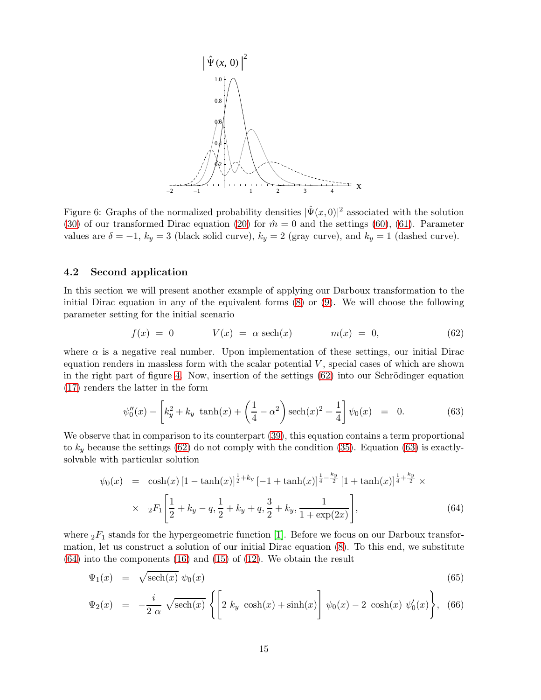

<span id="page-14-0"></span>Figure 6: Graphs of the normalized probability densities  $|\hat{\Psi}(x,0)|^2$  associated with the solution [\(30\)](#page-5-3) of our transformed Dirac equation [\(20\)](#page-4-0) for  $\hat{m} = 0$  and the settings [\(60\)](#page-13-2), [\(61\)](#page-13-2). Parameter values are  $\delta = -1$ ,  $k_y = 3$  (black solid curve),  $k_y = 2$  (gray curve), and  $k_y = 1$  (dashed curve).

### 4.2 Second application

In this section we will present another example of applying our Darboux transformation to the initial Dirac equation in any of the equivalent forms  $(8)$  or  $(9)$ . We will choose the following parameter setting for the initial scenario

<span id="page-14-1"></span>
$$
f(x) = 0 \t V(x) = \alpha \operatorname{sech}(x) \t m(x) = 0, \t (62)
$$

where  $\alpha$  is a negative real number. Upon implementation of these settings, our initial Dirac equation renders in massless form with the scalar potential  $V$ , special cases of which are shown in the right part of figure [4.](#page-12-0) Now, insertion of the settings  $(62)$  into our Schrödinger equation [\(17\)](#page-3-4) renders the latter in the form

<span id="page-14-2"></span>
$$
\psi_0''(x) - \left[k_y^2 + k_y \tanh(x) + \left(\frac{1}{4} - \alpha^2\right) \operatorname{sech}(x)^2 + \frac{1}{4}\right] \psi_0(x) = 0.
$$
 (63)

We observe that in comparison to its counterpart  $(39)$ , this equation contains a term proportional to  $k_y$  because the settings [\(62\)](#page-14-1) do not comply with the condition [\(35\)](#page-6-2). Equation [\(63\)](#page-14-2) is exactlysolvable with particular solution

<span id="page-14-3"></span>
$$
\psi_0(x) = \cosh(x) \left[1 - \tanh(x)\right]^{\frac{1}{2} + k_y} \left[-1 + \tanh(x)\right]^{\frac{1}{4} - \frac{k_y}{2}} \left[1 + \tanh(x)\right]^{\frac{1}{4} + \frac{k_y}{2}} \times
$$
  
 
$$
\times \quad {}_{2}F_1\left[\frac{1}{2} + k_y - q, \frac{1}{2} + k_y + q, \frac{3}{2} + k_y, \frac{1}{1 + \exp(2x)}\right],
$$
(64)

where  ${}_2F_1$  stands for the hypergeometric function [\[1\]](#page-22-3). Before we focus on our Darboux transformation, let us construct a solution of our initial Dirac equation [\(8\)](#page-2-2). To this end, we substitute  $(64)$  into the components  $(16)$  and  $(15)$  of  $(12)$ . We obtain the result

<span id="page-14-4"></span>
$$
\Psi_1(x) = \sqrt{\text{sech}(x)} \ \psi_0(x) \tag{65}
$$

$$
\Psi_2(x) = -\frac{i}{2 \alpha} \sqrt{\operatorname{sech}(x)} \left\{ \left[ 2 k_y \cosh(x) + \sinh(x) \right] \psi_0(x) - 2 \cosh(x) \psi'_0(x) \right\}, \tag{66}
$$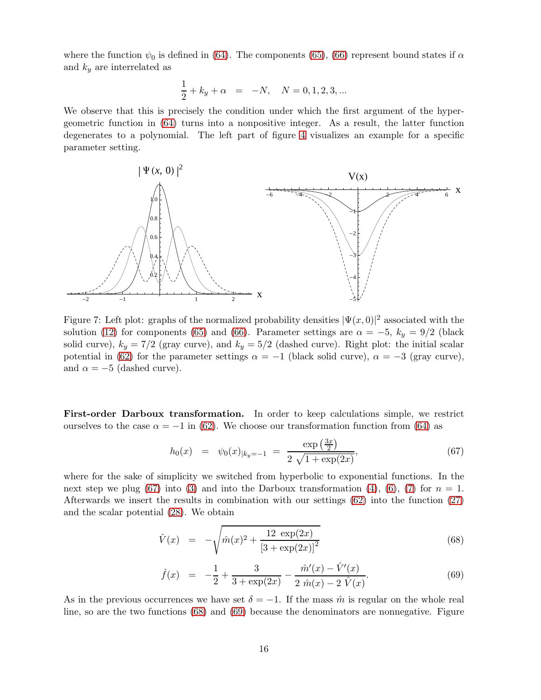where the function  $\psi_0$  is defined in [\(64\)](#page-14-3). The components [\(65\)](#page-14-4), [\(66\)](#page-14-4) represent bound states if  $\alpha$ and  $k_y$  are interrelated as

$$
\frac{1}{2} + k_y + \alpha = -N, \quad N = 0, 1, 2, 3, ...
$$

We observe that this is precisely the condition under which the first argument of the hypergeometric function in [\(64\)](#page-14-3) turns into a nonpositive integer. As a result, the latter function degenerates to a polynomial. The left part of figure [4](#page-12-0) visualizes an example for a specific parameter setting.



Figure 7: Left plot: graphs of the normalized probability densities  $|\Psi(x,0)|^2$  associated with the solution [\(12\)](#page-3-1) for components [\(65\)](#page-14-4) and [\(66\)](#page-14-4). Parameter settings are  $\alpha = -5$ ,  $k_y = 9/2$  (black solid curve),  $k_y = 7/2$  (gray curve), and  $k_y = 5/2$  (dashed curve). Right plot: the initial scalar potential in [\(62\)](#page-14-1) for the parameter settings  $\alpha = -1$  (black solid curve),  $\alpha = -3$  (gray curve), and  $\alpha = -5$  (dashed curve).

First-order Darboux transformation. In order to keep calculations simple, we restrict ourselves to the case  $\alpha = -1$  in [\(62\)](#page-14-1). We choose our transformation function from [\(64\)](#page-14-3) as

<span id="page-15-0"></span>
$$
h_0(x) = \psi_0(x)_{|k_y = -1} = \frac{\exp\left(\frac{3x}{2}\right)}{2\sqrt{1 + \exp(2x)}},\tag{67}
$$

where for the sake of simplicity we switched from hyperbolic to exponential functions. In the next step we plug [\(67\)](#page-15-0) into [\(3\)](#page-2-3) and into the Darboux transformation [\(4\)](#page-2-0), [\(6\)](#page-2-1), [\(7\)](#page-2-1) for  $n = 1$ . Afterwards we insert the results in combination with our settings [\(62\)](#page-14-1) into the function [\(27\)](#page-5-1) and the scalar potential [\(28\)](#page-5-2). We obtain

<span id="page-15-1"></span>
$$
\hat{V}(x) = -\sqrt{\hat{m}(x)^2 + \frac{12 \exp(2x)}{[3 + \exp(2x)]^2}}
$$
\n(68)

$$
\hat{f}(x) = -\frac{1}{2} + \frac{3}{3 + \exp(2x)} - \frac{\hat{m}'(x) - \hat{V}'(x)}{2 \hat{m}(x) - 2 \hat{V}(x)}.
$$
\n(69)

As in the previous occurrences we have set  $\delta = -1$ . If the mass  $\hat{m}$  is regular on the whole real line, so are the two functions [\(68\)](#page-15-1) and [\(69\)](#page-15-1) because the denominators are nonnegative. Figure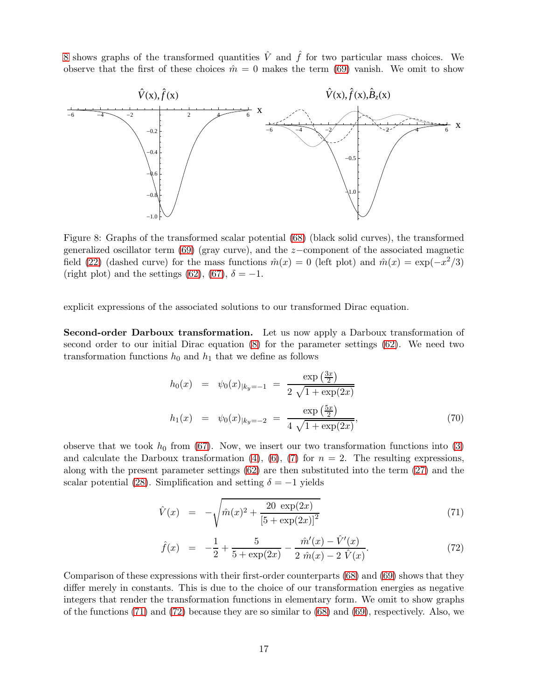[8](#page-16-0) shows graphs of the transformed quantities  $\hat{V}$  and  $\hat{f}$  for two particular mass choices. We observe that the first of these choices  $\hat{m} = 0$  makes the term [\(69\)](#page-15-1) vanish. We omit to show



<span id="page-16-0"></span>Figure 8: Graphs of the transformed scalar potential [\(68\)](#page-15-1) (black solid curves), the transformed generalized oscillator term [\(69\)](#page-15-1) (gray curve), and the z−component of the associated magnetic field [\(22\)](#page-4-4) (dashed curve) for the mass functions  $\hat{m}(x) = 0$  (left plot) and  $\hat{m}(x) = \exp(-x^2/3)$ (right plot) and the settings [\(62\)](#page-14-1), [\(67\)](#page-15-0),  $\delta = -1$ .

explicit expressions of the associated solutions to our transformed Dirac equation.

Second-order Darboux transformation. Let us now apply a Darboux transformation of second order to our initial Dirac equation [\(8\)](#page-2-2) for the parameter settings [\(62\)](#page-14-1). We need two transformation functions  $h_0$  and  $h_1$  that we define as follows

$$
h_0(x) = \psi_0(x)_{|k_y = -1} = \frac{\exp\left(\frac{3x}{2}\right)}{2\sqrt{1 + \exp(2x)}}
$$
  

$$
h_1(x) = \psi_0(x)_{|k_y = -2} = \frac{\exp\left(\frac{5x}{2}\right)}{4\sqrt{1 + \exp(2x)}},
$$
(70)

observe that we took  $h_0$  from [\(67\)](#page-15-0). Now, we insert our two transformation functions into [\(3\)](#page-2-3) and calculate the Darboux transformation [\(4\)](#page-2-0), [\(6\)](#page-2-1), [\(7\)](#page-2-1) for  $n = 2$ . The resulting expressions, along with the present parameter settings [\(62\)](#page-14-1) are then substituted into the term [\(27\)](#page-5-1) and the scalar potential [\(28\)](#page-5-2). Simplification and setting  $\delta = -1$  yields

<span id="page-16-1"></span>
$$
\hat{V}(x) = -\sqrt{\hat{m}(x)^2 + \frac{20 \exp(2x)}{\left[5 + \exp(2x)\right]^2}}
$$
\n(71)

$$
\hat{f}(x) = -\frac{1}{2} + \frac{5}{5 + \exp(2x)} - \frac{\hat{m}'(x) - \hat{V}'(x)}{2 \hat{m}(x) - 2 \hat{V}(x)}.
$$
\n(72)

Comparison of these expressions with their first-order counterparts [\(68\)](#page-15-1) and [\(69\)](#page-15-1) shows that they differ merely in constants. This is due to the choice of our transformation energies as negative integers that render the transformation functions in elementary form. We omit to show graphs of the functions [\(71\)](#page-16-1) and [\(72\)](#page-16-1) because they are so similar to [\(68\)](#page-15-1) and [\(69\)](#page-15-1), respectively. Also, we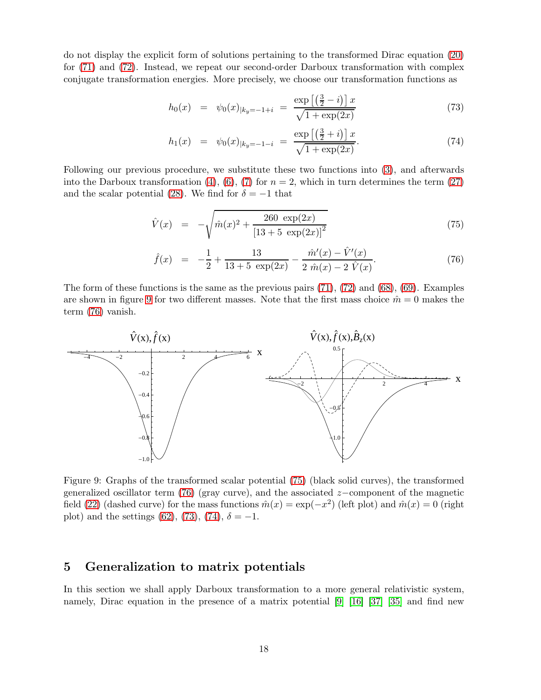do not display the explicit form of solutions pertaining to the transformed Dirac equation [\(20\)](#page-4-0) for [\(71\)](#page-16-1) and [\(72\)](#page-16-1). Instead, we repeat our second-order Darboux transformation with complex conjugate transformation energies. More precisely, we choose our transformation functions as

<span id="page-17-3"></span>
$$
h_0(x) = \psi_0(x)_{|k_y = -1 + i} = \frac{\exp\left[\left(\frac{3}{2} - i\right)\right]x}{\sqrt{1 + \exp(2x)}}\tag{73}
$$

$$
h_1(x) = \psi_0(x)|_{k_y = -1 - i} = \frac{\exp\left[\left(\frac{3}{2} + i\right)\right]x}{\sqrt{1 + \exp(2x)}}.\tag{74}
$$

Following our previous procedure, we substitute these two functions into [\(3\)](#page-2-3), and afterwards into the Darboux transformation [\(4\)](#page-2-0), [\(6\)](#page-2-1), [\(7\)](#page-2-1) for  $n = 2$ , which in turn determines the term [\(27\)](#page-5-1) and the scalar potential [\(28\)](#page-5-2). We find for  $\delta = -1$  that

<span id="page-17-2"></span>
$$
\hat{V}(x) = -\sqrt{\hat{m}(x)^2 + \frac{260 \exp(2x)}{[13 + 5 \exp(2x)]^2}}
$$
\n(75)

$$
\hat{f}(x) = -\frac{1}{2} + \frac{13}{13 + 5 \exp(2x)} - \frac{\hat{m}'(x) - \hat{V}'(x)}{2 \hat{m}(x) - 2 \hat{V}(x)}.
$$
\n(76)

The form of these functions is the same as the previous pairs  $(71)$ ,  $(72)$  and  $(68)$ ,  $(69)$ . Examples are shown in figure [9](#page-17-1) for two different masses. Note that the first mass choice  $\hat{m} = 0$  makes the term [\(76\)](#page-17-2) vanish.



<span id="page-17-1"></span>Figure 9: Graphs of the transformed scalar potential [\(75\)](#page-17-2) (black solid curves), the transformed generalized oscillator term [\(76\)](#page-17-2) (gray curve), and the associated  $z$ –component of the magnetic field [\(22\)](#page-4-4) (dashed curve) for the mass functions  $\hat{m}(x) = \exp(-x^2)$  (left plot) and  $\hat{m}(x) = 0$  (right plot) and the settings [\(62\)](#page-14-1), [\(73\)](#page-17-3), [\(74\)](#page-17-3),  $\delta = -1$ .

# <span id="page-17-0"></span>5 Generalization to matrix potentials

In this section we shall apply Darboux transformation to a more general relativistic system, namely, Dirac equation in the presence of a matrix potential [\[9\]](#page-23-14) [\[16\]](#page-23-15) [\[37\]](#page-24-16) [\[35\]](#page-24-17) and find new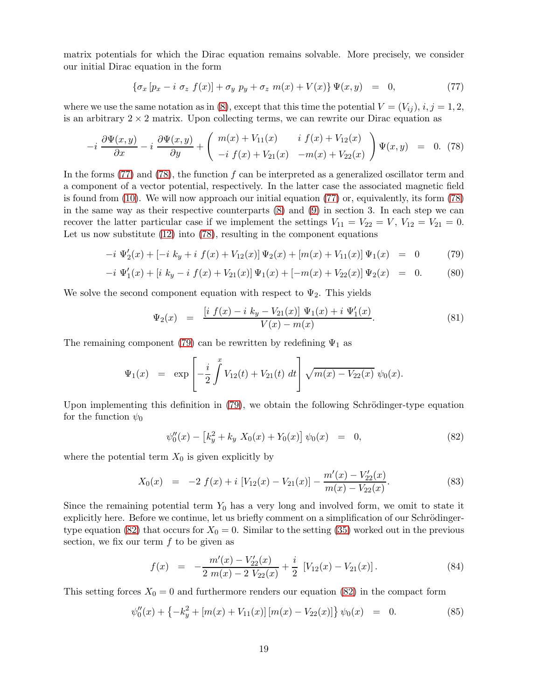matrix potentials for which the Dirac equation remains solvable. More precisely, we consider our initial Dirac equation in the form

<span id="page-18-0"></span>
$$
\{\sigma_x \left[ p_x - i \ \sigma_z \ f(x) \right] + \sigma_y \ p_y + \sigma_z \ m(x) + V(x) \} \Psi(x, y) = 0, \tag{77}
$$

where we use the same notation as in [\(8\)](#page-2-2), except that this time the potential  $V = (V_{ij}), i, j = 1, 2$ , is an arbitrary  $2 \times 2$  matrix. Upon collecting terms, we can rewrite our Dirac equation as

<span id="page-18-1"></span>
$$
-i \frac{\partial \Psi(x,y)}{\partial x} - i \frac{\partial \Psi(x,y)}{\partial y} + \begin{pmatrix} m(x) + V_{11}(x) & i f(x) + V_{12}(x) \\ -i f(x) + V_{21}(x) & -m(x) + V_{22}(x) \end{pmatrix} \Psi(x,y) = 0. (78)
$$

In the forms  $(77)$  and  $(78)$ , the function f can be interpreted as a generalized oscillator term and a component of a vector potential, respectively. In the latter case the associated magnetic field is found from [\(10\)](#page-3-7). We will now approach our initial equation [\(77\)](#page-18-0) or, equivalently, its form [\(78\)](#page-18-1) in the same way as their respective counterparts [\(8\)](#page-2-2) and [\(9\)](#page-3-0) in section 3. In each step we can recover the latter particular case if we implement the settings  $V_{11} = V_{22} = V$ ,  $V_{12} = V_{21} = 0$ . Let us now substitute  $(12)$  into  $(78)$ , resulting in the component equations

<span id="page-18-2"></span>
$$
-i\Psi_2'(x) + [-i k_y + i f(x) + V_{12}(x)]\Psi_2(x) + [m(x) + V_{11}(x)]\Psi_1(x) = 0 \tag{79}
$$

$$
-i \Psi_1'(x) + [i k_y - i f(x) + V_{21}(x)] \Psi_1(x) + [-m(x) + V_{22}(x)] \Psi_2(x) = 0.
$$
 (80)

We solve the second component equation with respect to  $\Psi_2$ . This yields

$$
\Psi_2(x) = \frac{\left[i \ f(x) - i \ k_y - V_{21}(x)\right] \ \Psi_1(x) + i \ \Psi'_1(x)}{V(x) - m(x)}.\tag{81}
$$

The remaining component [\(79\)](#page-18-2) can be rewritten by redefining  $\Psi_1$  as

$$
\Psi_1(x) = \exp\left[-\frac{i}{2}\int^x V_{12}(t) + V_{21}(t) dt\right] \sqrt{m(x) - V_{22}(x)} \psi_0(x).
$$

Upon implementing this definition in  $(79)$ , we obtain the following Schrödinger-type equation for the function  $\psi_0$ 

<span id="page-18-3"></span>
$$
\psi_0''(x) - \left[k_y^2 + k_y X_0(x) + Y_0(x)\right] \psi_0(x) = 0, \tag{82}
$$

where the potential term  $X_0$  is given explicitly by

$$
X_0(x) = -2 f(x) + i [V_{12}(x) - V_{21}(x)] - \frac{m'(x) - V_{22}'(x)}{m(x) - V_{22}(x)}.
$$
\n(83)

Since the remaining potential term  $Y_0$  has a very long and involved form, we omit to state it explicitly here. Before we continue, let us briefly comment on a simplification of our Schrödinger-type equation [\(82\)](#page-18-3) that occurs for  $X_0 = 0$ . Similar to the setting [\(35\)](#page-6-2) worked out in the previous section, we fix our term  $f$  to be given as

$$
f(x) = -\frac{m'(x) - V'_{22}(x)}{2m(x) - 2 V_{22}(x)} + \frac{i}{2} [V_{12}(x) - V_{21}(x)]. \tag{84}
$$

This setting forces  $X_0 = 0$  and furthermore renders our equation [\(82\)](#page-18-3) in the compact form

$$
\psi_0''(x) + \left\{-k_y^2 + [m(x) + V_{11}(x)][m(x) - V_{22}(x)]\right\}\psi_0(x) = 0.
$$
 (85)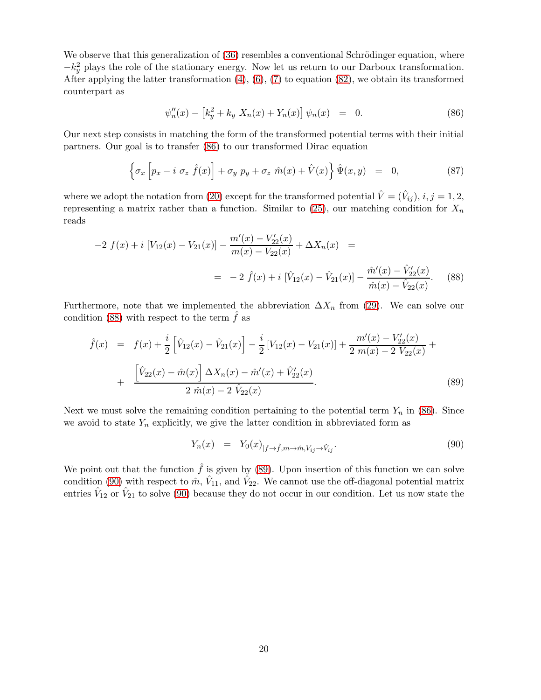We observe that this generalization of  $(36)$  resembles a conventional Schrödinger equation, where  $-k_y^2$  plays the role of the stationary energy. Now let us return to our Darboux transformation. After applying the latter transformation [\(4\)](#page-2-0), [\(6\)](#page-2-1), [\(7\)](#page-2-1) to equation [\(82\)](#page-18-3), we obtain its transformed counterpart as

<span id="page-19-0"></span>
$$
\psi_n''(x) - \left[k_y^2 + k_y X_n(x) + Y_n(x)\right] \psi_n(x) = 0.
$$
\n(86)

Our next step consists in matching the form of the transformed potential terms with their initial partners. Our goal is to transfer [\(86\)](#page-19-0) to our transformed Dirac equation

<span id="page-19-4"></span>
$$
\left\{\sigma_x \left[p_x - i \sigma_z \hat{f}(x)\right] + \sigma_y p_y + \sigma_z \hat{m}(x) + \hat{V}(x)\right\} \hat{\Psi}(x, y) = 0, \tag{87}
$$

where we adopt the notation from [\(20\)](#page-4-0) except for the transformed potential  $\hat{V} = (\hat{V}_{ij}), i, j = 1, 2, 3$ representing a matrix rather than a function. Similar to  $(25)$ , our matching condition for  $X_n$ reads

<span id="page-19-1"></span>
$$
-2 f(x) + i [V_{12}(x) - V_{21}(x)] - \frac{m'(x) - V_{22}'(x)}{m(x) - V_{22}(x)} + \Delta X_n(x) =
$$
  
= -2 \hat{f}(x) + i [\hat{V}\_{12}(x) - \hat{V}\_{21}(x)] - \frac{\hat{m}'(x) - \hat{V}\_{22}'(x)}{\hat{m}(x) - \hat{V}\_{22}(x)}. (88)

Furthermore, note that we implemented the abbreviation  $\Delta X_n$  from [\(29\)](#page-5-5). We can solve our condition [\(88\)](#page-19-1) with respect to the term  $f$  as

<span id="page-19-2"></span>
$$
\hat{f}(x) = f(x) + \frac{i}{2} \left[ \hat{V}_{12}(x) - \hat{V}_{21}(x) \right] - \frac{i}{2} \left[ V_{12}(x) - V_{21}(x) \right] + \frac{m'(x) - V'_{22}(x)}{2 m(x) - 2 V_{22}(x)} + \frac{\left[ \hat{V}_{22}(x) - \hat{m}(x) \right] \Delta X_n(x) - \hat{m}'(x) + \hat{V}'_{22}(x)}{2 \hat{m}(x) - 2 \hat{V}_{22}(x)}.
$$
\n(89)

Next we must solve the remaining condition pertaining to the potential term  $Y_n$  in [\(86\)](#page-19-0). Since we avoid to state  $Y_n$  explicitly, we give the latter condition in abbreviated form as

<span id="page-19-3"></span>
$$
Y_n(x) = Y_0(x)_{|f \to \hat{f}, m \to \hat{m}, V_{ij} \to \hat{V}_{ij}}.
$$
\n(90)

We point out that the function  $\hat{f}$  is given by [\(89\)](#page-19-2). Upon insertion of this function we can solve condition [\(90\)](#page-19-3) with respect to  $\hat{m}$ ,  $\hat{V}_{11}$ , and  $\hat{V}_{22}$ . We cannot use the off-diagonal potential matrix entries  $\hat{V}_{12}$  or  $\hat{V}_{21}$  to solve [\(90\)](#page-19-3) because they do not occur in our condition. Let us now state the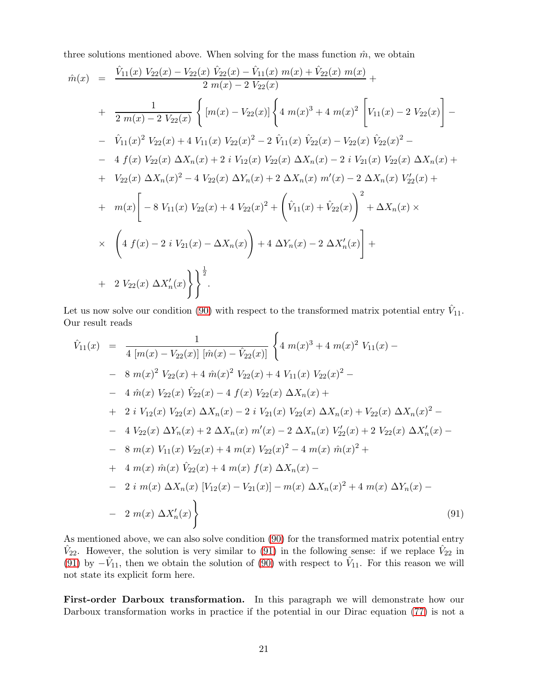three solutions mentioned above. When solving for the mass function  $\hat{m}$ , we obtain

$$
\hat{m}(x) = \frac{\hat{V}_{11}(x) V_{22}(x) - V_{22}(x) \hat{V}_{22}(x) - \hat{V}_{11}(x) m(x) + \hat{V}_{22}(x) m(x)}{2 m(x) - 2 V_{22}(x)} + \frac{1}{2 m(x) - 2 V_{22}(x)} \left\{ [m(x) - V_{22}(x)] \left\{ 4 m(x)^3 + 4 m(x)^2 \left[ V_{11}(x) - 2 V_{22}(x) \right] - \right. \\ - \hat{V}_{11}(x)^2 V_{22}(x) + 4 V_{11}(x) V_{22}(x)^2 - 2 \hat{V}_{11}(x) \hat{V}_{22}(x) - V_{22}(x) \hat{V}_{22}(x)^2 - \frac{1}{2} \left\{ f(x) V_{22}(x) \Delta X_n(x) + 2 i V_{12}(x) V_{22}(x) \Delta X_n(x) - 2 i V_{21}(x) V_{22}(x) \Delta X_n(x) + \right. \\ + V_{22}(x) \Delta X_n(x)^2 - 4 V_{22}(x) \Delta Y_n(x) + 2 \Delta X_n(x) m'(x) - 2 \Delta X_n(x) V'_{22}(x) + \frac{1}{2} \left. m(x) \left[ -8 V_{11}(x) V_{22}(x) + 4 V_{22}(x)^2 + \left( \hat{V}_{11}(x) + \hat{V}_{22}(x) \right)^2 + \Delta X_n(x) \right. \right\} \times \left\{ 4 f(x) - 2 i V_{21}(x) - \Delta X_n(x) \right\} + 4 \Delta Y_n(x) - 2 \Delta X'_n(x) \right\} + \frac{1}{2} V_{22}(x) \Delta X'_n(x) \left\} \right]^{\frac{1}{2}}.
$$

Let us now solve our condition [\(90\)](#page-19-3) with respect to the transformed matrix potential entry  $\hat{V}_{11}$ . Our result reads

<span id="page-20-0"></span>
$$
\hat{V}_{11}(x) = \frac{1}{4 [m(x) - V_{22}(x)] [\hat{m}(x) - \hat{V}_{22}(x)]} \left\{ 4 m(x)^3 + 4 m(x)^2 V_{11}(x) - 8 m(x)^2 V_{22}(x) + 4 \hat{m}(x)^2 V_{22}(x) + 4 V_{11}(x) V_{22}(x)^2 - 4 \hat{m}(x) V_{22}(x) \hat{V}_{22}(x) - 4 f(x) V_{22}(x) \Delta X_n(x) + 2 i V_{12}(x) V_{22}(x) \Delta X_n(x) - 2 i V_{21}(x) V_{22}(x) \Delta X_n(x) + V_{22}(x) \Delta X_n(x)^2 - 4 V_{22}(x) \Delta Y_n(x) + 2 \Delta X_n(x) m'(x) - 2 \Delta X_n(x) V'_{22}(x) + 2 V_{22}(x) \Delta X'_n(x) - 8 m(x) V_{11}(x) V_{22}(x) + 4 m(x) V_{22}(x)^2 - 4 m(x) \hat{m}(x)^2 + 4 m(x) \hat{m}(x) \hat{V}_{22}(x) + 4 m(x) f(x) \Delta X_n(x) - 2 i m(x) \Delta X_n(x) [V_{12}(x) - V_{21}(x)] - m(x) \Delta X_n(x)^2 + 4 m(x) \Delta Y_n(x) - 2 m(x) \Delta X'_n(x) \right\}
$$
\n(91)

As mentioned above, we can also solve condition [\(90\)](#page-19-3) for the transformed matrix potential entry  $\hat{V}_{22}$ . However, the solution is very similar to [\(91\)](#page-20-0) in the following sense: if we replace  $\hat{V}_{22}$  in [\(91\)](#page-20-0) by  $-\hat{V}_{11}$ , then we obtain the solution of [\(90\)](#page-19-3) with respect to  $\hat{V}_{11}$ . For this reason we will not state its explicit form here.

First-order Darboux transformation. In this paragraph we will demonstrate how our Darboux transformation works in practice if the potential in our Dirac equation [\(77\)](#page-18-0) is not a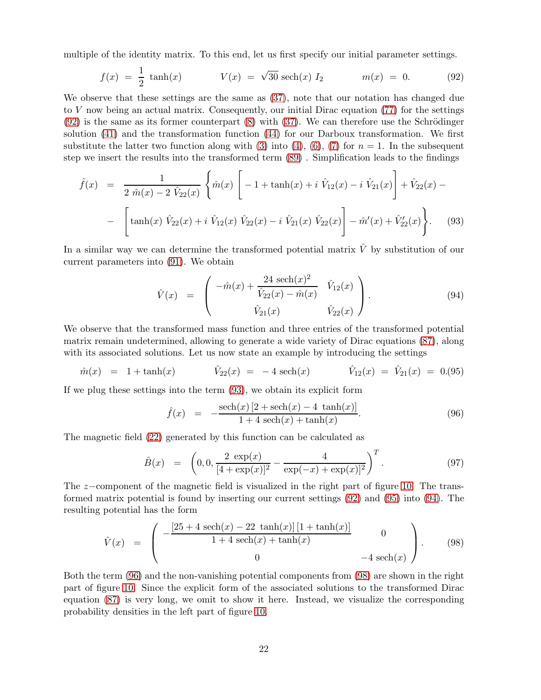multiple of the identity matrix. To this end, let us first specify our initial parameter settings.

<span id="page-21-0"></span>
$$
f(x) = \frac{1}{2} \tanh(x) \qquad V(x) = \sqrt{30} \sech(x) I_2 \qquad m(x) = 0. \qquad (92)
$$

We observe that these settings are the same as [\(37\)](#page-7-0), note that our notation has changed due to V now being an actual matrix. Consequently, our initial Dirac equation [\(77\)](#page-18-0) for the settings  $(92)$  is the same as its former counterpart  $(8)$  with  $(37)$ . We can therefore use the Schrödinger solution [\(41\)](#page-7-3) and the transformation function [\(44\)](#page-8-3) for our Darboux transformation. We first substitute the latter two function along with [\(3\)](#page-2-3) into [\(4\)](#page-2-0), [\(6\)](#page-2-1), [\(7\)](#page-2-1) for  $n = 1$ . In the subsequent step we insert the results into the transformed term [\(89\)](#page-19-2) . Simplification leads to the findings

<span id="page-21-1"></span>
$$
\hat{f}(x) = \frac{1}{2 \hat{m}(x) - 2 \hat{V}_{22}(x)} \left\{ \hat{m}(x) \left[ -1 + \tanh(x) + i \hat{V}_{12}(x) - i \hat{V}_{21}(x) \right] + \hat{V}_{22}(x) - \left[ \tanh(x) \hat{V}_{22}(x) + i \hat{V}_{12}(x) \hat{V}_{22}(x) - i \hat{V}_{21}(x) \hat{V}_{22}(x) \right] - \hat{m}'(x) + \hat{V}'_{22}(x) \right\}.
$$
\n(93)

In a similar way we can determine the transformed potential matrix  $\hat{V}$  by substitution of our current parameters into [\(91\)](#page-20-0). We obtain

<span id="page-21-3"></span>
$$
\hat{V}(x) = \begin{pmatrix} -\hat{m}(x) + \frac{24 \operatorname{sech}(x)^2}{\hat{V}_{22}(x) - \hat{m}(x)} & \hat{V}_{12}(x) \\ \hat{V}_{21}(x) & \hat{V}_{22}(x) \end{pmatrix} . \tag{94}
$$

We observe that the transformed mass function and three entries of the transformed potential matrix remain undetermined, allowing to generate a wide variety of Dirac equations [\(87\)](#page-19-4), along with its associated solutions. Let us now state an example by introducing the settings

<span id="page-21-2"></span>
$$
\hat{m}(x) = 1 + \tanh(x) \qquad \hat{V}_{22}(x) = -4 \operatorname{sech}(x) \qquad \hat{V}_{12}(x) = \hat{V}_{21}(x) = 0. (95)
$$

If we plug these settings into the term [\(93\)](#page-21-1), we obtain its explicit form

<span id="page-21-4"></span>
$$
\hat{f}(x) = -\frac{\text{sech}(x)[2 + \text{sech}(x) - 4 \ \tanh(x)]}{1 + 4 \ \text{sech}(x) + \tanh(x)}.
$$
\n(96)

The magnetic field [\(22\)](#page-4-4) generated by this function can be calculated as

<span id="page-21-6"></span>
$$
\hat{B}(x) = \left(0, 0, \frac{2 \exp(x)}{[4 + \exp(x)]^2} - \frac{4}{\exp(-x) + \exp(x)]^2}\right)^T.
$$
\n(97)

The z−component of the magnetic field is visualized in the right part of figure [10.](#page-22-4) The transformed matrix potential is found by inserting our current settings [\(92\)](#page-21-0) and [\(95\)](#page-21-2) into [\(94\)](#page-21-3). The resulting potential has the form

<span id="page-21-5"></span>
$$
\hat{V}(x) = \begin{pmatrix}\n-\frac{[25 + 4 \sech(x) - 22 \tanh(x)] [1 + \tanh(x)]}{1 + 4 \sech(x) + \tanh(x)} & 0 \\
0 & -4 \sech(x)\n\end{pmatrix}.
$$
\n(98)

Both the term [\(96\)](#page-21-4) and the non-vanishing potential components from [\(98\)](#page-21-5) are shown in the right part of figure [10.](#page-22-4) Since the explicit form of the associated solutions to the transformed Dirac equation [\(87\)](#page-19-4) is very long, we omit to show it here. Instead, we visualize the corresponding probability densities in the left part of figure [10.](#page-22-4)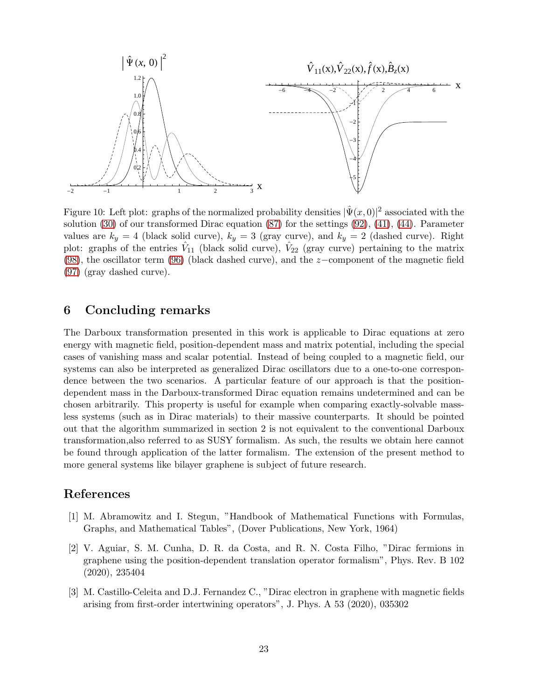

<span id="page-22-4"></span>Figure 10: Left plot: graphs of the normalized probability densities  $|\hat{\Psi}(x,0)|^2$  associated with the solution  $(30)$  of our transformed Dirac equation  $(87)$  for the settings  $(92)$ ,  $(41)$ ,  $(44)$ . Parameter values are  $k_y = 4$  (black solid curve),  $k_y = 3$  (gray curve), and  $k_y = 2$  (dashed curve). Right plot: graphs of the entries  $\hat{V}_{11}$  (black solid curve),  $\hat{V}_{22}$  (gray curve) pertaining to the matrix [\(98\)](#page-21-5), the oscillator term [\(96\)](#page-21-4) (black dashed curve), and the z−component of the magnetic field [\(97\)](#page-21-6) (gray dashed curve).

## <span id="page-22-2"></span>6 Concluding remarks

The Darboux transformation presented in this work is applicable to Dirac equations at zero energy with magnetic field, position-dependent mass and matrix potential, including the special cases of vanishing mass and scalar potential. Instead of being coupled to a magnetic field, our systems can also be interpreted as generalized Dirac oscillators due to a one-to-one correspondence between the two scenarios. A particular feature of our approach is that the positiondependent mass in the Darboux-transformed Dirac equation remains undetermined and can be chosen arbitrarily. This property is useful for example when comparing exactly-solvable massless systems (such as in Dirac materials) to their massive counterparts. It should be pointed out that the algorithm summarized in section 2 is not equivalent to the conventional Darboux transformation,also referred to as SUSY formalism. As such, the results we obtain here cannot be found through application of the latter formalism. The extension of the present method to more general systems like bilayer graphene is subject of future research.

## <span id="page-22-3"></span>References

- [1] M. Abramowitz and I. Stegun, "Handbook of Mathematical Functions with Formulas, Graphs, and Mathematical Tables", (Dover Publications, New York, 1964)
- <span id="page-22-1"></span>[2] V. Aguiar, S. M. Cunha, D. R. da Costa, and R. N. Costa Filho, "Dirac fermions in graphene using the position-dependent translation operator formalism", Phys. Rev. B 102 (2020), 235404
- <span id="page-22-0"></span>[3] M. Castillo-Celeita and D.J. Fernandez C., "Dirac electron in graphene with magnetic fields arising from first-order intertwining operators", J. Phys. A 53 (2020), 035302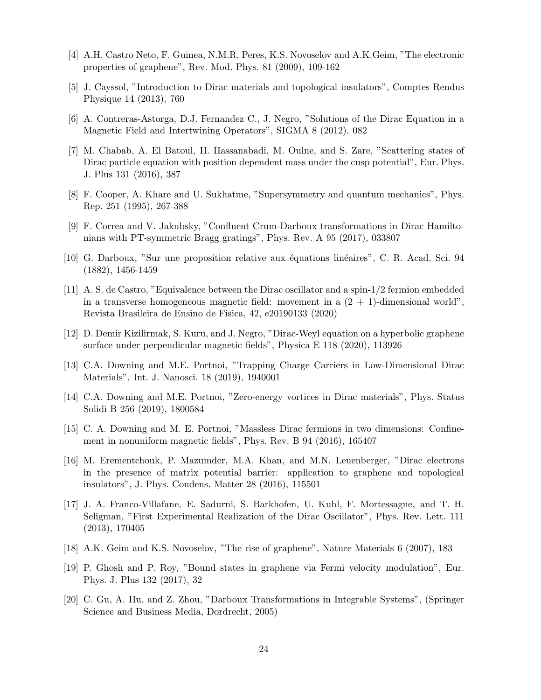- <span id="page-23-1"></span>[4] A.H. Castro Neto, F. Guinea, N.M.R. Peres, K.S. Novoselov and A.K.Geim, "The electronic properties of graphene", Rev. Mod. Phys. 81 (2009), 109-162
- <span id="page-23-13"></span>[5] J. Cayssol, "Introduction to Dirac materials and topological insulators", Comptes Rendus Physique 14 (2013), 760
- <span id="page-23-6"></span>[6] A. Contreras-Astorga, D.J. Fernandez C., J. Negro, "Solutions of the Dirac Equation in a Magnetic Field and Intertwining Operators", SIGMA 8 (2012), 082
- [7] M. Chabab, A. El Batoul, H. Hassanabadi, M. Oulne, and S. Zare, "Scattering states of Dirac particle equation with position dependent mass under the cusp potential", Eur. Phys. J. Plus 131 (2016), 387
- <span id="page-23-14"></span><span id="page-23-10"></span>[8] F. Cooper, A. Khare and U. Sukhatme, "Supersymmetry and quantum mechanics", Phys. Rep. 251 (1995), 267-388
- <span id="page-23-11"></span>[9] F. Correa and V. Jakubsky, "Confluent Crum-Darboux transformations in Dirac Hamiltonians with PT-symmetric Bragg gratings", Phys. Rev. A 95 (2017), 033807
- <span id="page-23-9"></span>[10] G. Darboux, "Sur une proposition relative aux équations linéaires", C. R. Acad. Sci. 94 (1882), 1456-1459
- [11] A. S. de Castro, "Equivalence between the Dirac oscillator and a spin-1/2 fermion embedded in a transverse homogeneous magnetic field: movement in a  $(2 + 1)$ -dimensional world", Revista Brasileira de Ensino de Fisica, 42, e20190133 (2020)
- <span id="page-23-4"></span><span id="page-23-2"></span>[12] D. Demir Kizilirmak, S. Kuru, and J. Negro, "Dirac-Weyl equation on a hyperbolic graphene surface under perpendicular magnetic fields", Physica E 118 (2020), 113926
- <span id="page-23-3"></span>[13] C.A. Downing and M.E. Portnoi, "Trapping Charge Carriers in Low-Dimensional Dirac Materials", Int. J. Nanosci. 18 (2019), 1940001
- <span id="page-23-5"></span>[14] C.A. Downing and M.E. Portnoi, "Zero-energy vortices in Dirac materials", Phys. Status Solidi B 256 (2019), 1800584
- <span id="page-23-15"></span>[15] C. A. Downing and M. E. Portnoi, "Massless Dirac fermions in two dimensions: Confinement in nonuniform magnetic fields", Phys. Rev. B 94 (2016), 165407
- [16] M. Erementchouk, P. Mazumder, M.A. Khan, and M.N. Leuenberger, "Dirac electrons in the presence of matrix potential barrier: application to graphene and topological insulators", J. Phys. Condens. Matter 28 (2016), 115501
- <span id="page-23-8"></span>[17] J. A. Franco-Villafane, E. Sadurni, S. Barkhofen, U. Kuhl, F. Mortessagne, and T. H. Seligman, "First Experimental Realization of the Dirac Oscillator", Phys. Rev. Lett. 111 (2013), 170405
- <span id="page-23-7"></span><span id="page-23-0"></span>[18] A.K. Geim and K.S. Novoselov, "The rise of graphene", Nature Materials 6 (2007), 183
- [19] P. Ghosh and P. Roy, "Bound states in graphene via Fermi velocity modulation", Eur. Phys. J. Plus 132 (2017), 32
- <span id="page-23-12"></span>[20] C. Gu, A. Hu, and Z. Zhou, "Darboux Transformations in Integrable Systems", (Springer Science and Business Media, Dordrecht, 2005)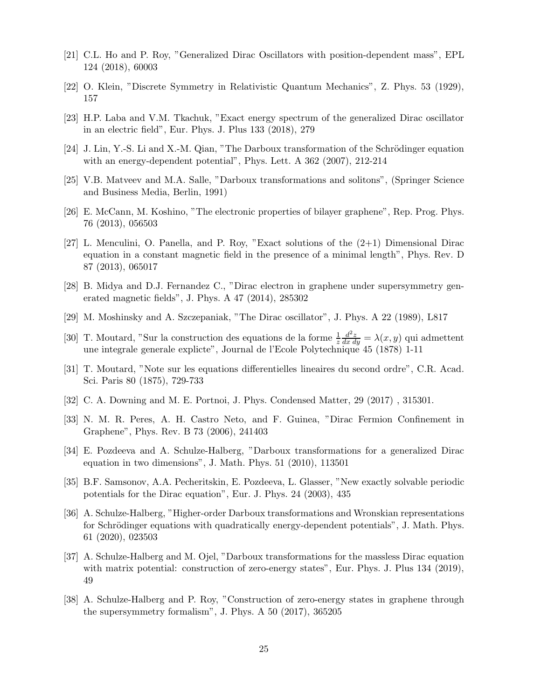- <span id="page-24-4"></span><span id="page-24-1"></span>[21] C.L. Ho and P. Roy, "Generalized Dirac Oscillators with position-dependent mass", EPL 124 (2018), 60003
- <span id="page-24-6"></span>[22] O. Klein, "Discrete Symmetry in Relativistic Quantum Mechanics", Z. Phys. 53 (1929), 157
- <span id="page-24-14"></span>[23] H.P. Laba and V.M. Tkachuk, "Exact energy spectrum of the generalized Dirac oscillator in an electric field", Eur. Phys. J. Plus 133 (2018), 279
- <span id="page-24-9"></span> $[24]$  J. Lin, Y.-S. Li and X.-M. Qian, "The Darboux transformation of the Schrödinger equation with an energy-dependent potential", Phys. Lett. A 362 (2007), 212-214
- <span id="page-24-0"></span>[25] V.B. Matveev and M.A. Salle, "Darboux transformations and solitons", (Springer Science and Business Media, Berlin, 1991)
- <span id="page-24-2"></span>[26] E. McCann, M. Koshino, "The electronic properties of bilayer graphene", Rep. Prog. Phys. 76 (2013), 056503
- [27] L. Menculini, O. Panella, and P. Roy, "Exact solutions of the  $(2+1)$  Dimensional Dirac equation in a constant magnetic field in the presence of a minimal length", Phys. Rev. D 87 (2013), 065017
- <span id="page-24-10"></span>[28] B. Midya and D.J. Fernandez C., "Dirac electron in graphene under supersymmetry generated magnetic fields", J. Phys. A 47 (2014), 285302
- <span id="page-24-7"></span><span id="page-24-5"></span>[29] M. Moshinsky and A. Szczepaniak, "The Dirac oscillator", J. Phys. A 22 (1989), L817
- [30] T. Moutard, "Sur la construction des equations de la forme  $\frac{1}{z}$  $\frac{d^2z}{dx\,dy} = \lambda(x,y)$  qui admettent une integrale generale explicte", Journal de l'Ecole Polytechnique 45 (1878) 1-11
- <span id="page-24-8"></span>[31] T. Moutard, "Note sur les equations differentielles lineaires du second ordre", C.R. Acad. Sci. Paris 80 (1875), 729-733
- <span id="page-24-11"></span><span id="page-24-3"></span>[32] C. A. Downing and M. E. Portnoi, J. Phys. Condensed Matter, 29 (2017) , 315301.
- <span id="page-24-12"></span>[33] N. M. R. Peres, A. H. Castro Neto, and F. Guinea, "Dirac Fermion Confinement in Graphene", Phys. Rev. B 73 (2006), 241403
- [34] E. Pozdeeva and A. Schulze-Halberg, "Darboux transformations for a generalized Dirac equation in two dimensions", J. Math. Phys. 51 (2010), 113501
- <span id="page-24-17"></span>[35] B.F. Samsonov, A.A. Pecheritskin, E. Pozdeeva, L. Glasser, "New exactly solvable periodic potentials for the Dirac equation", Eur. J. Phys. 24 (2003), 435
- <span id="page-24-15"></span>[36] A. Schulze-Halberg, "Higher-order Darboux transformations and Wronskian representations for Schrödinger equations with quadratically energy-dependent potentials", J. Math. Phys. 61 (2020), 023503
- <span id="page-24-16"></span>[37] A. Schulze-Halberg and M. Ojel, "Darboux transformations for the massless Dirac equation with matrix potential: construction of zero-energy states", Eur. Phys. J. Plus 134 (2019), 49
- <span id="page-24-13"></span>[38] A. Schulze-Halberg and P. Roy, "Construction of zero-energy states in graphene through the supersymmetry formalism", J. Phys. A 50 (2017), 365205